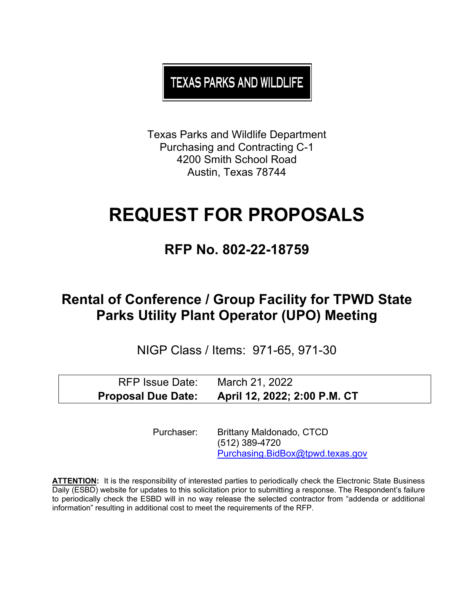**TEXAS PARKS AND WILDLIFE** 

Texas Parks and Wildlife Department Purchasing and Contracting C-1 4200 Smith School Road Austin, Texas 78744

# **REQUEST FOR PROPOSALS**

## **RFP No. 802-22-18759**

## **Rental of Conference / Group Facility for TPWD State Parks Utility Plant Operator (UPO) Meeting**

NIGP Class / Items: 971-65, 971-30

| RFP Issue Date:           | March 21, 2022               |
|---------------------------|------------------------------|
| <b>Proposal Due Date:</b> | April 12, 2022; 2:00 P.M. CT |

Purchaser: Brittany Maldonado, CTCD (512) 389-4720 [Purchasing.BidBox@tpwd.texas.gov](mailto:Purchasing.BidBox@tpwd.texas.gov)

**ATTENTION:** It is the responsibility of interested parties to periodically check the Electronic State Business Daily (ESBD) website for updates to this solicitation prior to submitting a response. The Respondent's failure to periodically check the ESBD will in no way release the selected contractor from "addenda or additional information" resulting in additional cost to meet the requirements of the RFP.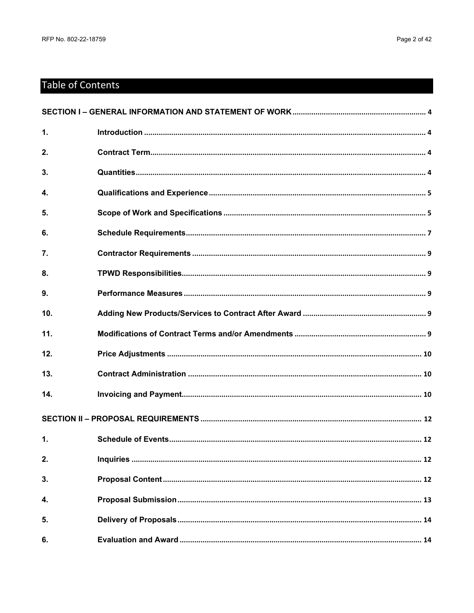## **Table of Contents**

| $\mathbf{1}$    |  |
|-----------------|--|
| 2.              |  |
| 3.              |  |
| 4.              |  |
| 5.              |  |
| 6.              |  |
| 7.              |  |
| 8.              |  |
| 9.              |  |
| 10 <sub>1</sub> |  |
| 11.             |  |
| 12.             |  |
| 13.             |  |
| 14.             |  |
|                 |  |
| 1.              |  |
| 2.              |  |
| 3.              |  |
| 4.              |  |
| 5.              |  |
| 6.              |  |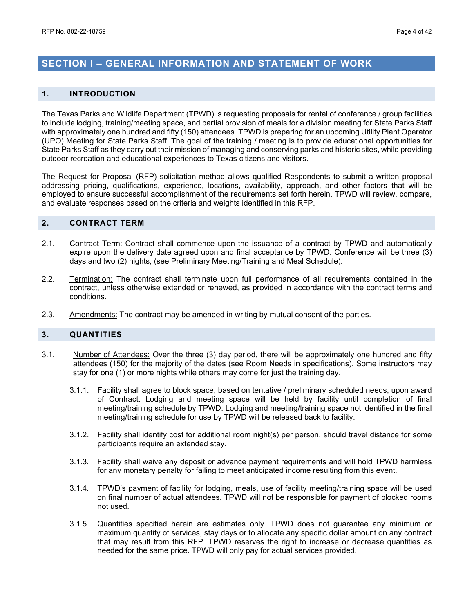### <span id="page-3-0"></span>**SECTION I – GENERAL INFORMATION AND STATEMENT OF WORK**

#### <span id="page-3-1"></span>**1. INTRODUCTION**

The Texas Parks and Wildlife Department (TPWD) is requesting proposals for rental of conference / group facilities to include lodging, training/meeting space, and partial provision of meals for a division meeting for State Parks Staff with approximately one hundred and fifty (150) attendees. TPWD is preparing for an upcoming Utility Plant Operator (UPO) Meeting for State Parks Staff. The goal of the training / meeting is to provide educational opportunities for State Parks Staff as they carry out their mission of managing and conserving parks and historic sites, while providing outdoor recreation and educational experiences to Texas citizens and visitors.

The Request for Proposal (RFP) solicitation method allows qualified Respondents to submit a written proposal addressing pricing, qualifications, experience, locations, availability, approach, and other factors that will be employed to ensure successful accomplishment of the requirements set forth herein. TPWD will review, compare, and evaluate responses based on the criteria and weights identified in this RFP.

#### <span id="page-3-2"></span>**2. CONTRACT TERM**

- 2.1. Contract Term: Contract shall commence upon the issuance of a contract by TPWD and automatically expire upon the delivery date agreed upon and final acceptance by TPWD. Conference will be three (3) days and two (2) nights, (see Preliminary Meeting/Training and Meal Schedule).
- 2.2. Termination: The contract shall terminate upon full performance of all requirements contained in the contract, unless otherwise extended or renewed, as provided in accordance with the contract terms and conditions.
- 2.3. Amendments: The contract may be amended in writing by mutual consent of the parties.

#### <span id="page-3-3"></span>**3. QUANTITIES**

- 3.1. Number of Attendees: Over the three (3) day period, there will be approximately one hundred and fifty attendees (150) for the majority of the dates (see Room Needs in specifications). Some instructors may stay for one (1) or more nights while others may come for just the training day.
	- 3.1.1. Facility shall agree to block space, based on tentative / preliminary scheduled needs, upon award of Contract. Lodging and meeting space will be held by facility until completion of final meeting/training schedule by TPWD. Lodging and meeting/training space not identified in the final meeting/training schedule for use by TPWD will be released back to facility.
	- 3.1.2. Facility shall identify cost for additional room night(s) per person, should travel distance for some participants require an extended stay.
	- 3.1.3. Facility shall waive any deposit or advance payment requirements and will hold TPWD harmless for any monetary penalty for failing to meet anticipated income resulting from this event.
	- 3.1.4. TPWD's payment of facility for lodging, meals, use of facility meeting/training space will be used on final number of actual attendees. TPWD will not be responsible for payment of blocked rooms not used.
	- 3.1.5. Quantities specified herein are estimates only. TPWD does not guarantee any minimum or maximum quantity of services, stay days or to allocate any specific dollar amount on any contract that may result from this RFP. TPWD reserves the right to increase or decrease quantities as needed for the same price. TPWD will only pay for actual services provided.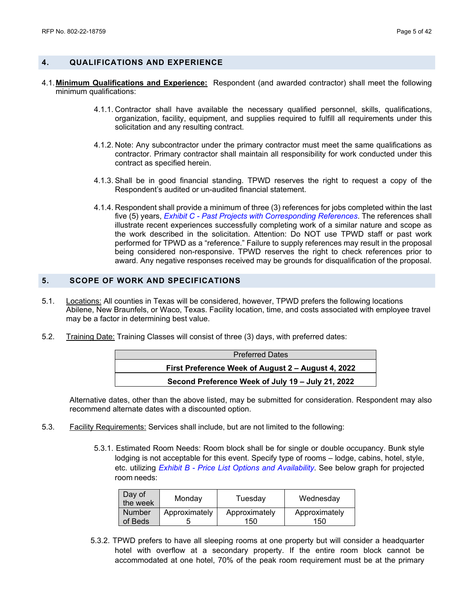#### <span id="page-4-0"></span>**4. QUALIFICATIONS AND EXPERIENCE**

- 4.1.**Minimum Qualifications and Experience:** Respondent (and awarded contractor) shall meet the following minimum qualifications:
	- 4.1.1. Contractor shall have available the necessary qualified personnel, skills, qualifications, organization, facility, equipment, and supplies required to fulfill all requirements under this solicitation and any resulting contract.
	- 4.1.2. Note: Any subcontractor under the primary contractor must meet the same qualifications as contractor. Primary contractor shall maintain all responsibility for work conducted under this contract as specified herein.
	- 4.1.3. Shall be in good financial standing. TPWD reserves the right to request a copy of the Respondent's audited or un-audited financial statement.
	- 4.1.4. Respondent shall provide a minimum of three (3) references for jobs completed within the last five (5) years, *Exhibit C - Past Projects with Corresponding References*. The references shall illustrate recent experiences successfully completing work of a similar nature and scope as the work described in the solicitation. Attention: Do NOT use TPWD staff or past work performed for TPWD as a "reference." Failure to supply references may result in the proposal being considered non-responsive. TPWD reserves the right to check references prior to award. Any negative responses received may be grounds for disqualification of the proposal.

#### <span id="page-4-1"></span>**5. SCOPE OF WORK AND SPECIFICATIONS**

- 5.1. Locations: All counties in Texas will be considered, however, TPWD prefers the following locations Abilene, New Braunfels, or Waco, Texas. Facility location, time, and costs associated with employee travel may be a factor in determining best value.
- 5.2. Training Date: Training Classes will consist of three (3) days, with preferred dates:

| <b>Preferred Dates</b>                             |  |
|----------------------------------------------------|--|
| First Preference Week of August 2 - August 4, 2022 |  |
| Second Preference Week of July 19 - July 21, 2022  |  |

Alternative dates, other than the above listed, may be submitted for consideration. Respondent may also recommend alternate dates with a discounted option.

- 5.3. Facility Requirements: Services shall include, but are not limited to the following:
	- 5.3.1. Estimated Room Needs: Room block shall be for single or double occupancy. Bunk style lodging is not acceptable for this event. Specify type of rooms – lodge, cabins, hotel, style, etc. utilizing *Exhibit B - Price List Options and Availability*. See below graph for projected room needs:

| Day of<br>the week | Monday        | Tuesday       | Wednesday     |
|--------------------|---------------|---------------|---------------|
| <b>Number</b>      | Approximately | Approximately | Approximately |
| of Beds            |               | 150           | 150           |

5.3.2. TPWD prefers to have all sleeping rooms at one property but will consider a headquarter hotel with overflow at a secondary property. If the entire room block cannot be accommodated at one hotel, 70% of the peak room requirement must be at the primary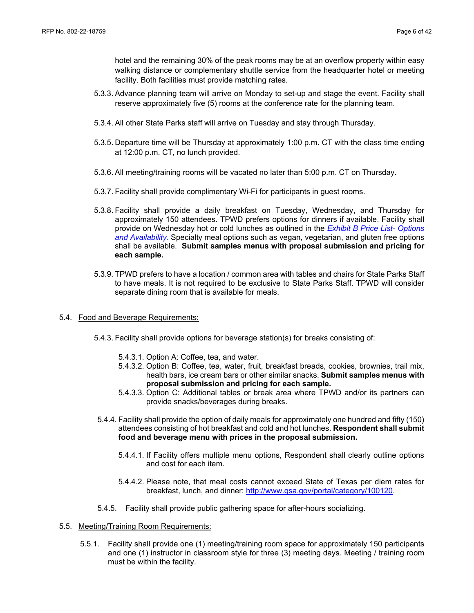hotel and the remaining 30% of the peak rooms may be at an overflow property within easy walking distance or complementary shuttle service from the headquarter hotel or meeting facility. Both facilities must provide matching rates.

- 5.3.3. Advance planning team will arrive on Monday to set-up and stage the event. Facility shall reserve approximately five (5) rooms at the conference rate for the planning team.
- 5.3.4. All other State Parks staff will arrive on Tuesday and stay through Thursday.
- 5.3.5. Departure time will be Thursday at approximately 1:00 p.m. CT with the class time ending at 12:00 p.m. CT, no lunch provided.
- 5.3.6. All meeting/training rooms will be vacated no later than 5:00 p.m. CT on Thursday.
- 5.3.7. Facility shall provide complimentary Wi-Fi for participants in guest rooms.
- 5.3.8. Facility shall provide a daily breakfast on Tuesday, Wednesday, and Thursday for approximately 150 attendees. TPWD prefers options for dinners if available. Facility shall provide on Wednesday hot or cold lunches as outlined in the *Exhibit B Price List- Options and Availability*. Specialty meal options such as vegan, vegetarian, and gluten free options shall be available. **Submit samples menus with proposal submission and pricing for each sample.**
- 5.3.9. TPWD prefers to have a location / common area with tables and chairs for State Parks Staff to have meals. It is not required to be exclusive to State Parks Staff. TPWD will consider separate dining room that is available for meals.
- 5.4. Food and Beverage Requirements:
	- 5.4.3. Facility shall provide options for beverage station(s) for breaks consisting of:
		- 5.4.3.1. Option A: Coffee, tea, and water.
		- 5.4.3.2. Option B: Coffee, tea, water, fruit, breakfast breads, cookies, brownies, trail mix, health bars, ice cream bars or other similar snacks. **Submit samples menus with proposal submission and pricing for each sample.**
		- 5.4.3.3. Option C: Additional tables or break area where TPWD and/or its partners can provide snacks/beverages during breaks.
	- 5.4.4. Facility shall provide the option of daily meals for approximately one hundred and fifty (150) attendees consisting of hot breakfast and cold and hot lunches. **Respondent shall submit food and beverage menu with prices in the proposal submission.**
		- 5.4.4.1. If Facility offers multiple menu options, Respondent shall clearly outline options and cost for each item.
		- 5.4.4.2. Please note, that meal costs cannot exceed State of Texas per diem rates for breakfast, lunch, and dinner: http://www.gsa.gov/portal/category/100120.
	- 5.4.5. Facility shall provide public gathering space for after-hours socializing.
- 5.5. Meeting/Training Room Requirements:
	- 5.5.1. Facility shall provide one (1) meeting/training room space for approximately 150 participants and one (1) instructor in classroom style for three (3) meeting days. Meeting / training room must be within the facility.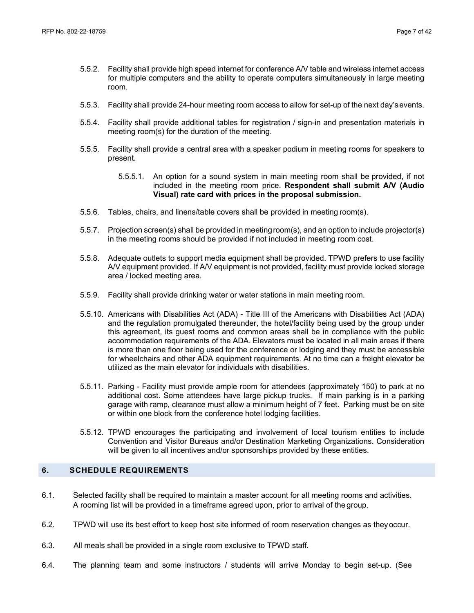- 5.5.2. Facility shall provide high speed internet for conference A/V table and wireless internet access for multiple computers and the ability to operate computers simultaneously in large meeting room.
- 5.5.3. Facility shall provide 24-hour meeting room access to allow for set-up of the next day'sevents.
- 5.5.4. Facility shall provide additional tables for registration / sign-in and presentation materials in meeting room(s) for the duration of the meeting.
- 5.5.5. Facility shall provide a central area with a speaker podium in meeting rooms for speakers to present.
	- 5.5.5.1. An option for a sound system in main meeting room shall be provided, if not included in the meeting room price. **Respondent shall submit A/V (Audio Visual) rate card with prices in the proposal submission.**
- 5.5.6. Tables, chairs, and linens/table covers shall be provided in meeting room(s).
- 5.5.7. Projection screen(s) shall be provided in meetingroom(s), and an option to include projector(s) in the meeting rooms should be provided if not included in meeting room cost.
- 5.5.8. Adequate outlets to support media equipment shall be provided. TPWD prefers to use facility A/V equipment provided. If A/V equipment is not provided, facility must provide locked storage area / locked meeting area.
- 5.5.9. Facility shall provide drinking water or water stations in main meeting room.
- 5.5.10. Americans with Disabilities Act (ADA) Title III of the Americans with Disabilities Act (ADA) and the regulation promulgated thereunder, the hotel/facility being used by the group under this agreement, its guest rooms and common areas shall be in compliance with the public accommodation requirements of the ADA. Elevators must be located in all main areas if there is more than one floor being used for the conference or lodging and they must be accessible for wheelchairs and other ADA equipment requirements. At no time can a freight elevator be utilized as the main elevator for individuals with disabilities.
- 5.5.11. Parking Facility must provide ample room for attendees (approximately 150) to park at no additional cost. Some attendees have large pickup trucks. If main parking is in a parking garage with ramp, clearance must allow a minimum height of 7 feet. Parking must be on site or within one block from the conference hotel lodging facilities.
- 5.5.12. TPWD encourages the participating and involvement of local tourism entities to include Convention and Visitor Bureaus and/or Destination Marketing Organizations. Consideration will be given to all incentives and/or sponsorships provided by these entities.

#### <span id="page-6-0"></span>**6. SCHEDULE REQUIREMENTS**

- 6.1. Selected facility shall be required to maintain a master account for all meeting rooms and activities. A rooming list will be provided in a timeframe agreed upon, prior to arrival of the group.
- 6.2. TPWD will use its best effort to keep host site informed of room reservation changes as theyoccur.
- 6.3. All meals shall be provided in a single room exclusive to TPWD staff.
- 6.4. The planning team and some instructors / students will arrive Monday to begin set-up. (See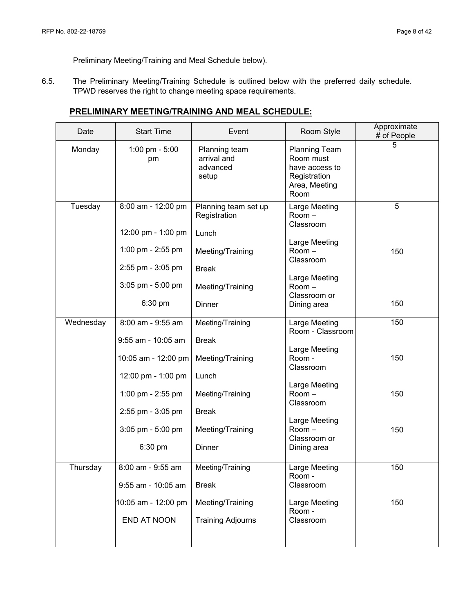Preliminary Meeting/Training and Meal Schedule below).

6.5. The Preliminary Meeting/Training Schedule is outlined below with the preferred daily schedule. TPWD reserves the right to change meeting space requirements.

### **PRELIMINARY MEETING/TRAINING AND MEAL SCHEDULE:**

| Date      | <b>Start Time</b>    | Event                                             | Room Style                                                                                   | Approximate<br># of People |
|-----------|----------------------|---------------------------------------------------|----------------------------------------------------------------------------------------------|----------------------------|
| Monday    | 1:00 pm - 5:00<br>pm | Planning team<br>arrival and<br>advanced<br>setup | <b>Planning Team</b><br>Room must<br>have access to<br>Registration<br>Area, Meeting<br>Room | 5                          |
| Tuesday   | 8:00 am - 12:00 pm   | Planning team set up<br>Registration              | Large Meeting<br>Room-<br>Classroom                                                          | 5                          |
|           | 12:00 pm - 1:00 pm   | Lunch                                             | Large Meeting                                                                                |                            |
|           | 1:00 pm - 2:55 pm    | Meeting/Training                                  | Room-<br>Classroom                                                                           | 150                        |
|           | 2:55 pm - 3:05 pm    | <b>Break</b>                                      | Large Meeting                                                                                |                            |
|           | 3:05 pm - 5:00 pm    | Meeting/Training                                  | $Room -$<br>Classroom or                                                                     |                            |
|           | 6:30 pm              | <b>Dinner</b>                                     | Dining area                                                                                  | 150                        |
| Wednesday | 8:00 am - 9:55 am    | Meeting/Training                                  | Large Meeting<br>Room - Classroom                                                            | 150                        |
|           | 9:55 am - 10:05 am   | <b>Break</b>                                      | Large Meeting                                                                                |                            |
|           | 10:05 am - 12:00 pm  | Meeting/Training                                  | Room -<br>Classroom                                                                          | 150                        |
|           | 12:00 pm - 1:00 pm   | Lunch                                             | Large Meeting                                                                                |                            |
|           | 1:00 pm - 2:55 pm    | Meeting/Training                                  | Room-<br>Classroom                                                                           | 150                        |
|           | 2:55 pm - 3:05 pm    | <b>Break</b>                                      | Large Meeting                                                                                |                            |
|           | 3:05 pm - 5:00 pm    | Meeting/Training                                  | Room-<br>Classroom or                                                                        | 150                        |
|           | 6:30 pm              | Dinner                                            | Dining area                                                                                  |                            |
| Thursday  | 8:00 am - 9:55 am    | Meeting/Training                                  | Large Meeting<br>Room -                                                                      | 150                        |
|           | 9:55 am - 10:05 am   | <b>Break</b>                                      | Classroom                                                                                    |                            |
|           | 10:05 am - 12:00 pm  | Meeting/Training                                  | Large Meeting<br>Room-                                                                       | 150                        |
|           | END AT NOON          | <b>Training Adjourns</b>                          | Classroom                                                                                    |                            |
|           |                      |                                                   |                                                                                              |                            |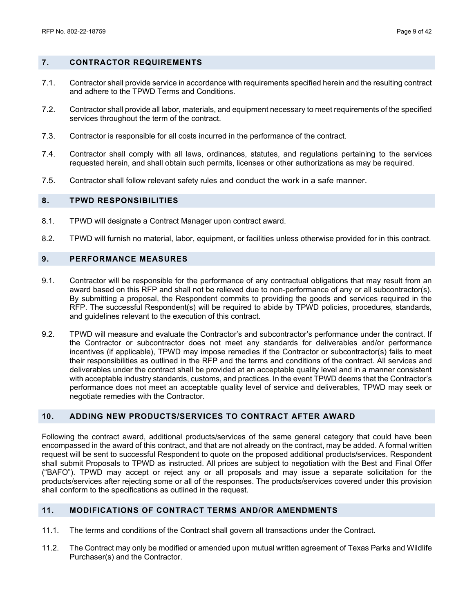#### <span id="page-8-0"></span>**7. CONTRACTOR REQUIREMENTS**

- 7.1. Contractor shall provide service in accordance with requirements specified herein and the resulting contract and adhere to the TPWD Terms and Conditions.
- 7.2. Contractor shall provide all labor, materials, and equipment necessary to meet requirements of the specified services throughout the term of the contract.
- 7.3. Contractor is responsible for all costs incurred in the performance of the contract.
- 7.4. Contractor shall comply with all laws, ordinances, statutes, and regulations pertaining to the services requested herein, and shall obtain such permits, licenses or other authorizations as may be required.
- 7.5. Contractor shall follow relevant safety rules and conduct the work in a safe manner.

#### <span id="page-8-1"></span>**8. TPWD RESPONSIBILITIES**

- 8.1. TPWD will designate a Contract Manager upon contract award.
- 8.2. TPWD will furnish no material, labor, equipment, or facilities unless otherwise provided for in this contract.

#### <span id="page-8-2"></span>**9. PERFORMANCE MEASURES**

- 9.1. Contractor will be responsible for the performance of any contractual obligations that may result from an award based on this RFP and shall not be relieved due to non-performance of any or all subcontractor(s). By submitting a proposal, the Respondent commits to providing the goods and services required in the RFP. The successful Respondent(s) will be required to abide by TPWD policies, procedures, standards, and guidelines relevant to the execution of this contract.
- 9.2. TPWD will measure and evaluate the Contractor's and subcontractor's performance under the contract. If the Contractor or subcontractor does not meet any standards for deliverables and/or performance incentives (if applicable), TPWD may impose remedies if the Contractor or subcontractor(s) fails to meet their responsibilities as outlined in the RFP and the terms and conditions of the contract. All services and deliverables under the contract shall be provided at an acceptable quality level and in a manner consistent with acceptable industry standards, customs, and practices. In the event TPWD deems that the Contractor's performance does not meet an acceptable quality level of service and deliverables, TPWD may seek or negotiate remedies with the Contractor.

#### <span id="page-8-3"></span>**10. ADDING NEW PRODUCTS/SERVICES TO CONTRACT AFTER AWARD**

Following the contract award, additional products/services of the same general category that could have been encompassed in the award of this contract, and that are not already on the contract, may be added. A formal written request will be sent to successful Respondent to quote on the proposed additional products/services. Respondent shall submit Proposals to TPWD as instructed. All prices are subject to negotiation with the Best and Final Offer ("BAFO"). TPWD may accept or reject any or all proposals and may issue a separate solicitation for the products/services after rejecting some or all of the responses. The products/services covered under this provision shall conform to the specifications as outlined in the request.

#### <span id="page-8-4"></span>**11. MODIFICATIONS OF CONTRACT TERMS AND/OR AMENDMENTS**

- 11.1. The terms and conditions of the Contract shall govern all transactions under the Contract.
- 11.2. The Contract may only be modified or amended upon mutual written agreement of Texas Parks and Wildlife Purchaser(s) and the Contractor.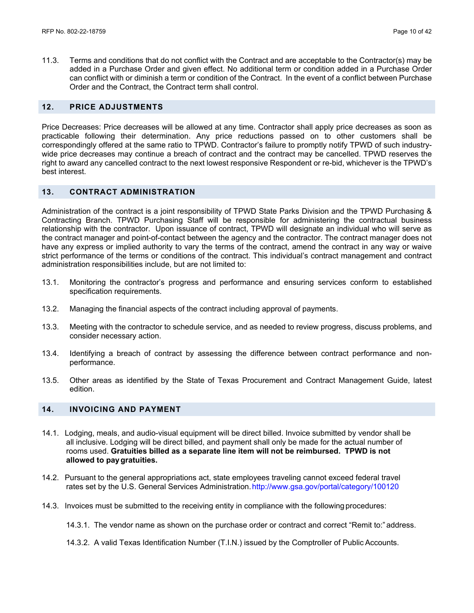11.3. Terms and conditions that do not conflict with the Contract and are acceptable to the Contractor(s) may be added in a Purchase Order and given effect. No additional term or condition added in a Purchase Order can conflict with or diminish a term or condition of the Contract. In the event of a conflict between Purchase Order and the Contract, the Contract term shall control.

#### <span id="page-9-0"></span>**12. PRICE ADJUSTMENTS**

Price Decreases: Price decreases will be allowed at any time. Contractor shall apply price decreases as soon as practicable following their determination. Any price reductions passed on to other customers shall be correspondingly offered at the same ratio to TPWD. Contractor's failure to promptly notify TPWD of such industrywide price decreases may continue a breach of contract and the contract may be cancelled. TPWD reserves the right to award any cancelled contract to the next lowest responsive Respondent or re-bid, whichever is the TPWD's best interest.

#### <span id="page-9-1"></span>**13. CONTRACT ADMINISTRATION**

Administration of the contract is a joint responsibility of TPWD State Parks Division and the TPWD Purchasing & Contracting Branch. TPWD Purchasing Staff will be responsible for administering the contractual business relationship with the contractor. Upon issuance of contract, TPWD will designate an individual who will serve as the contract manager and point-of-contact between the agency and the contractor. The contract manager does not have any express or implied authority to vary the terms of the contract, amend the contract in any way or waive strict performance of the terms or conditions of the contract. This individual's contract management and contract administration responsibilities include, but are not limited to:

- 13.1. Monitoring the contractor's progress and performance and ensuring services conform to established specification requirements.
- 13.2. Managing the financial aspects of the contract including approval of payments.
- 13.3. Meeting with the contractor to schedule service, and as needed to review progress, discuss problems, and consider necessary action.
- 13.4. Identifying a breach of contract by assessing the difference between contract performance and nonperformance.
- 13.5. Other areas as identified by the State of Texas Procurement and Contract Management Guide, latest edition.

#### <span id="page-9-2"></span>**14. INVOICING AND PAYMENT**

- 14.1. Lodging, meals, and audio-visual equipment will be direct billed. Invoice submitted by vendor shall be all inclusive. Lodging will be direct billed, and payment shall only be made for the actual number of rooms used. **Gratuities billed as a separate line item will not be reimbursed. TPWD is not allowed to paygratuities.**
- 14.2. Pursuant to the general appropriations act, state employees traveling cannot exceed federal travel rates set by the U.S. General Services Administration[.http://www.gsa.gov/portal/category/100120](http://www.gsa.gov/portal/category/100120)
- 14.3. Invoices must be submitted to the receiving entity in compliance with the followingprocedures:

<sup>14.3.1.</sup> The vendor name as shown on the purchase order or contract and correct "Remit to:" address.

<sup>14.3.2.</sup> A valid Texas Identification Number (T.I.N.) issued by the Comptroller of Public Accounts.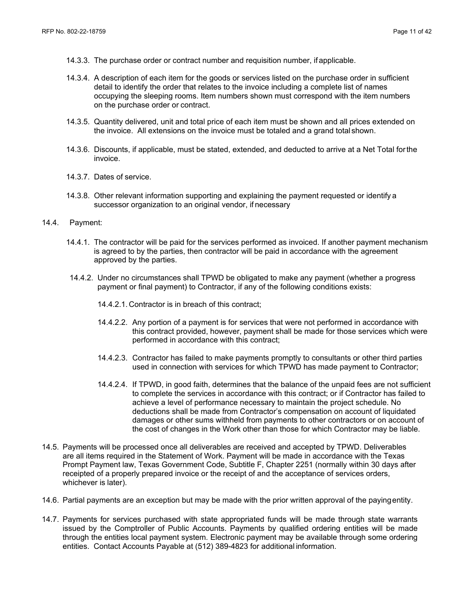- 14.3.3. The purchase order or contract number and requisition number, if applicable.
- 14.3.4. A description of each item for the goods or services listed on the purchase order in sufficient detail to identify the order that relates to the invoice including a complete list of names occupying the sleeping rooms. Item numbers shown must correspond with the item numbers on the purchase order or contract.
- 14.3.5. Quantity delivered, unit and total price of each item must be shown and all prices extended on the invoice. All extensions on the invoice must be totaled and a grand totalshown.
- 14.3.6. Discounts, if applicable, must be stated, extended, and deducted to arrive at a Net Total forthe invoice.
- 14.3.7. Dates of service.
- 14.3.8. Other relevant information supporting and explaining the payment requested or identify a successor organization to an original vendor, if necessary
- 14.4. Payment:
	- 14.4.1. The contractor will be paid for the services performed as invoiced. If another payment mechanism is agreed to by the parties, then contractor will be paid in accordance with the agreement approved by the parties.
	- 14.4.2. Under no circumstances shall TPWD be obligated to make any payment (whether a progress payment or final payment) to Contractor, if any of the following conditions exists:
		- 14.4.2.1. Contractor is in breach of this contract;
		- 14.4.2.2. Any portion of a payment is for services that were not performed in accordance with this contract provided, however, payment shall be made for those services which were performed in accordance with this contract;
		- 14.4.2.3. Contractor has failed to make payments promptly to consultants or other third parties used in connection with services for which TPWD has made payment to Contractor;
		- 14.4.2.4. If TPWD, in good faith, determines that the balance of the unpaid fees are not sufficient to complete the services in accordance with this contract; or if Contractor has failed to achieve a level of performance necessary to maintain the project schedule. No deductions shall be made from Contractor's compensation on account of liquidated damages or other sums withheld from payments to other contractors or on account of the cost of changes in the Work other than those for which Contractor may be liable.
- 14.5. Payments will be processed once all deliverables are received and accepted by TPWD. Deliverables are all items required in the Statement of Work. Payment will be made in accordance with the Texas Prompt Payment law, Texas Government Code, Subtitle F, Chapter 2251 (normally within 30 days after receipted of a properly prepared invoice or the receipt of and the acceptance of services orders, whichever is later).
- 14.6. Partial payments are an exception but may be made with the prior written approval of the payingentity.
- 14.7. Payments for services purchased with state appropriated funds will be made through state warrants issued by the Comptroller of Public Accounts. Payments by qualified ordering entities will be made through the entities local payment system. Electronic payment may be available through some ordering entities. Contact Accounts Payable at (512) 389-4823 for additional information.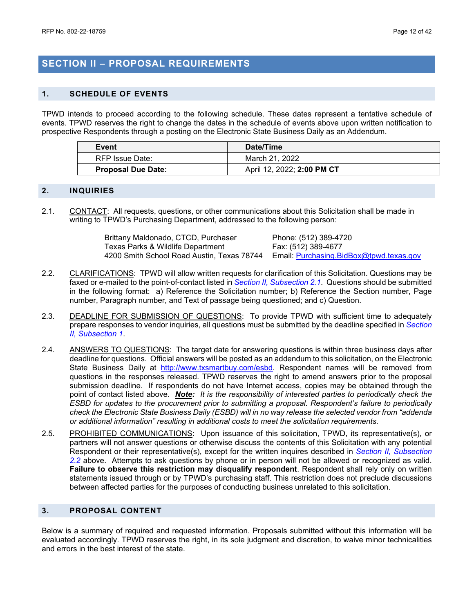## <span id="page-11-0"></span>**SECTION II – PROPOSAL REQUIREMENTS**

#### <span id="page-11-1"></span>**1. SCHEDULE OF EVENTS**

TPWD intends to proceed according to the following schedule. These dates represent a tentative schedule of events. TPWD reserves the right to change the dates in the schedule of events above upon written notification to prospective Respondents through a posting on the Electronic State Business Daily as an Addendum.

| Event                     | Date/Time                  |
|---------------------------|----------------------------|
| RFP Issue Date:           | March 21, 2022             |
| <b>Proposal Due Date:</b> | April 12, 2022; 2:00 PM CT |

#### <span id="page-11-2"></span>**2. INQUIRIES**

2.1. CONTACT: All requests, questions, or other communications about this Solicitation shall be made in writing to TPWD's Purchasing Department, addressed to the following person:

| Brittany Maldonado, CTCD, Purchaser        | Phone: (512) 389-4720                   |
|--------------------------------------------|-----------------------------------------|
| Texas Parks & Wildlife Department          | Fax: (512) 389-4677                     |
| 4200 Smith School Road Austin, Texas 78744 | Email: Purchasing.BidBox@tpwd.texas.gov |

- 2.2. CLARIFICATIONS: TPWD will allow written requests for clarification of this Solicitation. Questions may be faxed or e-mailed to the point-of-contact listed in *Section II, Subsection 2.1*. Questions should be submitted in the following format: a) Reference the Solicitation number; b) Reference the Section number, Page number, Paragraph number, and Text of passage being questioned; and c) Question.
- 2.3. DEADLINE FOR SUBMISSION OF QUESTIONS: To provide TPWD with sufficient time to adequately prepare responses to vendor inquiries, all questions must be submitted by the deadline specified in *Section II, Subsection 1*.
- 2.4. ANSWERS TO QUESTIONS: The target date for answering questions is within three business days after deadline for questions. Official answers will be posted as an addendum to this solicitation, on the Electronic State Business Daily at [http://www.txsmartbuy.com/esbd.](http://www.txsmartbuy.com/esbd) Respondent names will be removed from questions in the responses released. TPWD reserves the right to amend answers prior to the proposal submission deadline. If respondents do not have Internet access, copies may be obtained through the point of contact listed above. *Note: It is the responsibility of interested parties to periodically check the ESBD for updates to the procurement prior to submitting a proposal. Respondent's failure to periodically check the Electronic State Business Daily (ESBD) will in no way release the selected vendor from "addenda or additional information" resulting in additional costs to meet the solicitation requirements.*
- 2.5. PROHIBITED COMMUNICATIONS: Upon issuance of this solicitation, TPWD, its representative(s), or partners will not answer questions or otherwise discuss the contents of this Solicitation with any potential Respondent or their representative(s), except for the written inquires described in *Section II, Subsection 2.2* above. Attempts to ask questions by phone or in person will not be allowed or recognized as valid. **Failure to observe this restriction may disqualify respondent**. Respondent shall rely only on written statements issued through or by TPWD's purchasing staff. This restriction does not preclude discussions between affected parties for the purposes of conducting business unrelated to this solicitation.

#### <span id="page-11-3"></span>**3. PROPOSAL CONTENT**

Below is a summary of required and requested information. Proposals submitted without this information will be evaluated accordingly. TPWD reserves the right, in its sole judgment and discretion, to waive minor technicalities and errors in the best interest of the state.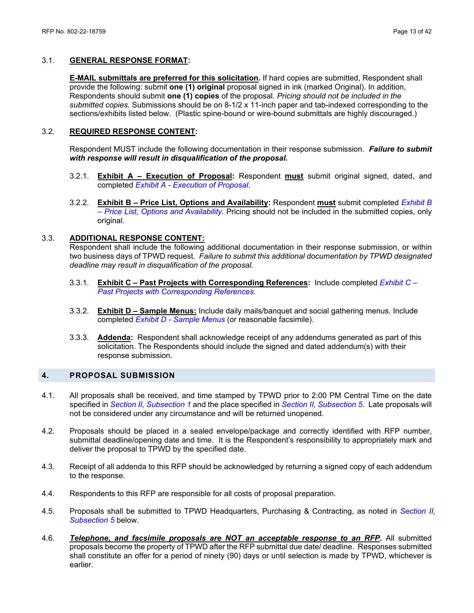#### 3.1. **GENERAL RESPONSE FORMAT:**

**E-MAIL submittals are preferred for this solicitation.** If hard copies are submitted, Respondent shall provide the following: submit **one (1) original** proposal signed in ink (marked Original). In addition, Respondents should submit **one (1) copies** of the proposal. *Pricing should not be included in the submitted copies.* Submissions should be on 8-1/2 x 11-inch paper and tab-indexed corresponding to the sections/exhibits listed below. (Plastic spine-bound or wire-bound submittals are highly discouraged.)

#### 3.2. **REQUIRED RESPONSE CONTENT:**

Respondent MUST include the following documentation in their response submission.*Failure to submit with response will result in disqualification of the proposal.*

- 3.2.1. **Exhibit A – Execution of Proposal:** Respondent **must** submit original signed, dated, and completed *Exhibit A - Execution of Proposal*.
- 3.2.2. **Exhibit B – Price List, Options and Availability:** Respondent **must** submit completed *Exhibit B – Price List, Options and Availability.* Pricing should not be included in the submitted copies, only original.

#### 3.3. **ADDITIONAL RESPONSE CONTENT:**

Respondent shall include the following additional documentation in their response submission, or within two business days of TPWD request. *Failure to submit this additional documentation by TPWD designated deadline may result in disqualification of the proposal.*

- 3.3.1. **Exhibit C – Past Projects with Corresponding References:** Include completed *Exhibit C – Past Projects with Corresponding References.*
- 3.3.2. **Exhibit D – Sample Menus:** Include daily mails/banquet and social gathering menus. Include completed *Exhibit D - Sample Menus* (or reasonable facsimile).
- 3.3.3. **Addenda:** Respondent shall acknowledge receipt of any addendums generated as part of this solicitation. The Respondents should include the signed and dated addendum(s) with their response submission.

#### <span id="page-12-0"></span>**4. PROPOSAL SUBMISSION**

- 4.1. All proposals shall be received, and time stamped by TPWD prior to 2:00 PM Central Time on the date specified in *Section II, Subsection 1* and the place specified in *Section II, Subsection 5*. Late proposals will not be considered under any circumstance and will be returned unopened.
- 4.2. Proposals should be placed in a sealed envelope/package and correctly identified with RFP number, submittal deadline/opening date and time. It is the Respondent's responsibility to appropriately mark and deliver the proposal to TPWD by the specified date.
- 4.3. Receipt of all addenda to this RFP should be acknowledged by returning a signed copy of each addendum to the response.
- 4.4. Respondents to this RFP are responsible for all costs of proposal preparation.
- 4.5. Proposals shall be submitted to TPWD Headquarters, Purchasing & Contracting, as noted in *Section II, Subsection 5* below.
- 4.6. *Telephone, and facsimile proposals are NOT an acceptable response to an RFP***.** All submitted proposals become the property of TPWD after the RFP submittal due date/ deadline. Responses submitted shall constitute an offer for a period of ninety (90) days or until selection is made by TPWD, whichever is earlier.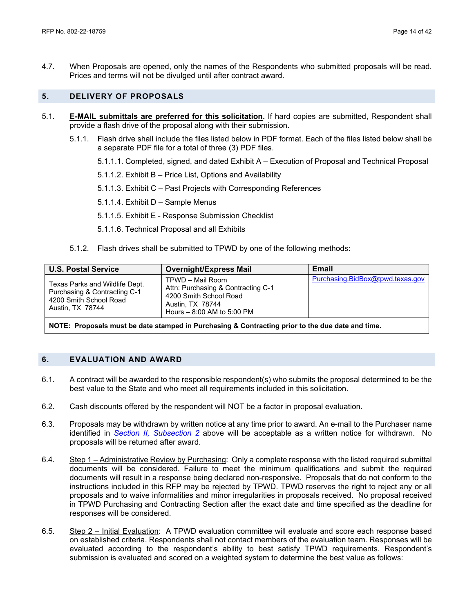4.7. When Proposals are opened, only the names of the Respondents who submitted proposals will be read. Prices and terms will not be divulged until after contract award.

#### <span id="page-13-0"></span>**5. DELIVERY OF PROPOSALS**

- 5.1. **E-MAIL submittals are preferred for this solicitation.** If hard copies are submitted, Respondent shall provide a flash drive of the proposal along with their submission.
	- 5.1.1. Flash drive shall include the files listed below in PDF format. Each of the files listed below shall be a separate PDF file for a total of three (3) PDF files.
		- 5.1.1.1. Completed, signed, and dated Exhibit A Execution of Proposal and Technical Proposal
		- 5.1.1.2. Exhibit B Price List, Options and Availability
		- 5.1.1.3. Exhibit C Past Projects with Corresponding References
		- 5.1.1.4. Exhibit D Sample Menus
		- 5.1.1.5. Exhibit E Response Submission Checklist
		- 5.1.1.6. Technical Proposal and all Exhibits
	- 5.1.2. Flash drives shall be submitted to TPWD by one of the following methods:

| <b>U.S. Postal Service</b>                                                                                   | <b>Overnight/Express Mail</b>                                                                                                      | Email                            |
|--------------------------------------------------------------------------------------------------------------|------------------------------------------------------------------------------------------------------------------------------------|----------------------------------|
| Texas Parks and Wildlife Dept.<br>Purchasing & Contracting C-1<br>4200 Smith School Road<br>Austin, TX 78744 | TPWD - Mail Room<br>Attn: Purchasing & Contracting C-1<br>4200 Smith School Road<br>Austin, TX 78744<br>Hours - 8:00 AM to 5:00 PM | Purchasing.BidBox@tpwd.texas.gov |
|                                                                                                              |                                                                                                                                    |                                  |

**NOTE: Proposals must be date stamped in Purchasing & Contracting prior to the due date and time.**

#### <span id="page-13-1"></span>**6. EVALUATION AND AWARD**

- 6.1. A contract will be awarded to the responsible respondent(s) who submits the proposal determined to be the best value to the State and who meet all requirements included in this solicitation.
- 6.2. Cash discounts offered by the respondent will NOT be a factor in proposal evaluation.
- 6.3. Proposals may be withdrawn by written notice at any time prior to award. An e-mail to the Purchaser name identified in *Section II, Subsection 2* above will be acceptable as a written notice for withdrawn. No proposals will be returned after award.
- 6.4. Step 1 Administrative Review by Purchasing: Only a complete response with the listed required submittal documents will be considered. Failure to meet the minimum qualifications and submit the required documents will result in a response being declared non-responsive. Proposals that do not conform to the instructions included in this RFP may be rejected by TPWD. TPWD reserves the right to reject any or all proposals and to waive informalities and minor irregularities in proposals received. No proposal received in TPWD Purchasing and Contracting Section after the exact date and time specified as the deadline for responses will be considered.
- 6.5. Step 2 Initial Evaluation: A TPWD evaluation committee will evaluate and score each response based on established criteria. Respondents shall not contact members of the evaluation team. Responses will be evaluated according to the respondent's ability to best satisfy TPWD requirements. Respondent's submission is evaluated and scored on a weighted system to determine the best value as follows: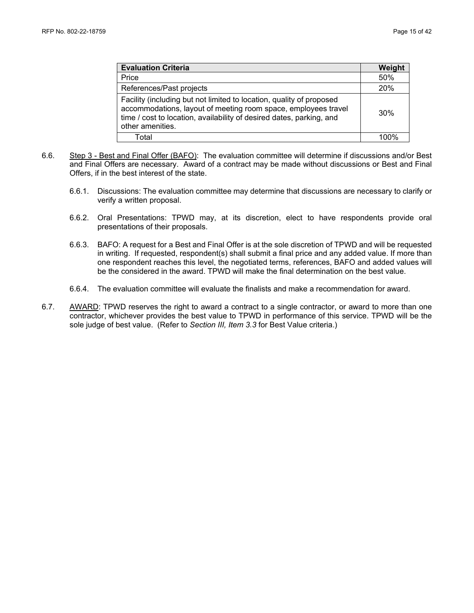| <b>Evaluation Criteria</b>                                                                                                                                                                                                         | Weight |
|------------------------------------------------------------------------------------------------------------------------------------------------------------------------------------------------------------------------------------|--------|
| Price                                                                                                                                                                                                                              | 50%    |
| References/Past projects                                                                                                                                                                                                           | 20%    |
| Facility (including but not limited to location, quality of proposed<br>accommodations, layout of meeting room space, employees travel<br>time / cost to location, availability of desired dates, parking, and<br>other amenities. | 30%    |
| Total                                                                                                                                                                                                                              |        |

- 6.6. Step 3 Best and Final Offer (BAFO): The evaluation committee will determine if discussions and/or Best and Final Offers are necessary. Award of a contract may be made without discussions or Best and Final Offers, if in the best interest of the state.
	- 6.6.1. Discussions: The evaluation committee may determine that discussions are necessary to clarify or verify a written proposal.
	- 6.6.2. Oral Presentations: TPWD may, at its discretion, elect to have respondents provide oral presentations of their proposals.
	- 6.6.3. BAFO: A request for a Best and Final Offer is at the sole discretion of TPWD and will be requested in writing. If requested, respondent(s) shall submit a final price and any added value. If more than one respondent reaches this level, the negotiated terms, references, BAFO and added values will be the considered in the award. TPWD will make the final determination on the best value.
	- 6.6.4. The evaluation committee will evaluate the finalists and make a recommendation for award.
- 6.7. AWARD: TPWD reserves the right to award a contract to a single contractor, or award to more than one contractor, whichever provides the best value to TPWD in performance of this service. TPWD will be the sole judge of best value. (Refer to *Section III, Item 3.3* for Best Value criteria.)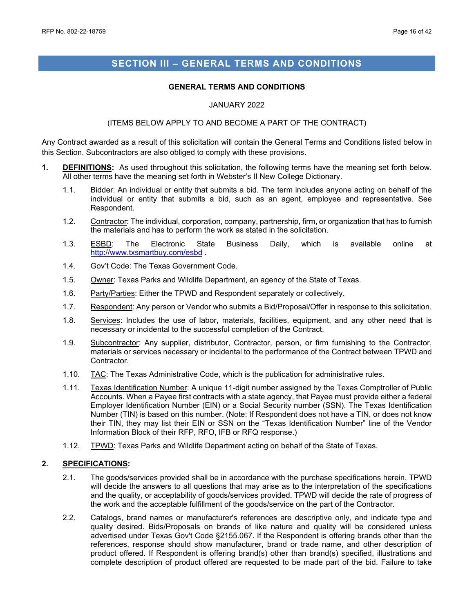### <span id="page-15-0"></span>**SECTION III – GENERAL TERMS AND CONDITIONS**

#### **GENERAL TERMS AND CONDITIONS**

#### JANUARY 2022

#### (ITEMS BELOW APPLY TO AND BECOME A PART OF THE CONTRACT)

Any Contract awarded as a result of this solicitation will contain the General Terms and Conditions listed below in this Section. Subcontractors are also obliged to comply with these provisions.

- **1. DEFINITIONS:** As used throughout this solicitation, the following terms have the meaning set forth below. All other terms have the meaning set forth in Webster's II New College Dictionary.
	- 1.1. Bidder: An individual or entity that submits a bid. The term includes anyone acting on behalf of the individual or entity that submits a bid, such as an agent, employee and representative. See Respondent.
	- 1.2. Contractor: The individual, corporation, company, partnership, firm, or organization that has to furnish the materials and has to perform the work as stated in the solicitation.
	- 1.3. <u>ESBD</u>: The Electronic State Business Daily, which is available online at <http://www.txsmartbuy.com/esbd> .
	- 1.4. Gov't Code: The Texas Government Code.
	- 1.5. Owner: Texas Parks and Wildlife Department, an agency of the State of Texas.
	- 1.6. Party/Parties: Either the TPWD and Respondent separately or collectively.
	- 1.7. Respondent: Any person or Vendor who submits a Bid/Proposal/Offer in response to this solicitation.
	- 1.8. Services: Includes the use of labor, materials, facilities, equipment, and any other need that is necessary or incidental to the successful completion of the Contract.
	- 1.9. Subcontractor: Any supplier, distributor, Contractor, person, or firm furnishing to the Contractor, materials or services necessary or incidental to the performance of the Contract between TPWD and Contractor.
	- 1.10. TAC: The Texas Administrative Code, which is the publication for administrative rules.
	- 1.11. Texas Identification Number: A unique 11-digit number assigned by the Texas Comptroller of Public Accounts. When a Payee first contracts with a state agency, that Payee must provide either a federal Employer Identification Number (EIN) or a Social Security number (SSN). The Texas Identification Number (TIN) is based on this number. (Note: If Respondent does not have a TIN, or does not know their TIN, they may list their EIN or SSN on the "Texas Identification Number" line of the Vendor Information Block of their RFP, RFO, IFB or RFQ response.)
	- 1.12. TPWD: Texas Parks and Wildlife Department acting on behalf of the State of Texas.

#### **2. SPECIFICATIONS:**

- 2.1. The goods/services provided shall be in accordance with the purchase specifications herein. TPWD will decide the answers to all questions that may arise as to the interpretation of the specifications and the quality, or acceptability of goods/services provided. TPWD will decide the rate of progress of the work and the acceptable fulfillment of the goods/service on the part of the Contractor.
- 2.2. Catalogs, brand names or manufacturer's references are descriptive only, and indicate type and quality desired. Bids/Proposals on brands of like nature and quality will be considered unless advertised under Texas Gov't Code §2155.067. If the Respondent is offering brands other than the references, response should show manufacturer, brand or trade name, and other description of product offered. If Respondent is offering brand(s) other than brand(s) specified, illustrations and complete description of product offered are requested to be made part of the bid. Failure to take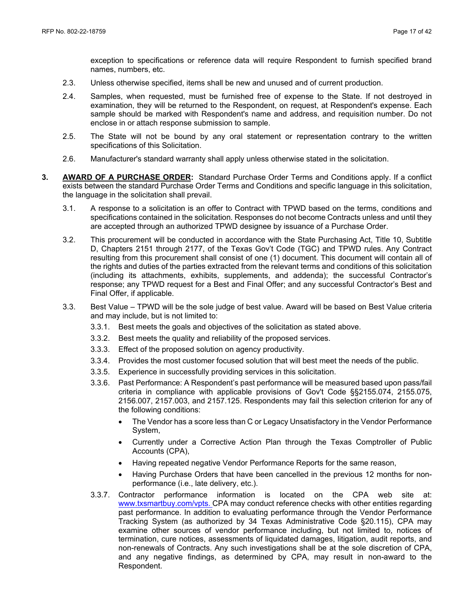exception to specifications or reference data will require Respondent to furnish specified brand names, numbers, etc.

- 2.3. Unless otherwise specified, items shall be new and unused and of current production.
- 2.4. Samples, when requested, must be furnished free of expense to the State. If not destroyed in examination, they will be returned to the Respondent, on request, at Respondent's expense. Each sample should be marked with Respondent's name and address, and requisition number. Do not enclose in or attach response submission to sample.
- 2.5. The State will not be bound by any oral statement or representation contrary to the written specifications of this Solicitation.
- 2.6. Manufacturer's standard warranty shall apply unless otherwise stated in the solicitation.
- **3. AWARD OF A PURCHASE ORDER:** Standard Purchase Order Terms and Conditions apply. If a conflict exists between the standard Purchase Order Terms and Conditions and specific language in this solicitation, the language in the solicitation shall prevail.
	- 3.1. A response to a solicitation is an offer to Contract with TPWD based on the terms, conditions and specifications contained in the solicitation. Responses do not become Contracts unless and until they are accepted through an authorized TPWD designee by issuance of a Purchase Order.
	- 3.2. This procurement will be conducted in accordance with the State Purchasing Act, Title 10, Subtitle D, Chapters 2151 through 2177, of the Texas Gov't Code (TGC) and TPWD rules. Any Contract resulting from this procurement shall consist of one (1) document. This document will contain all of the rights and duties of the parties extracted from the relevant terms and conditions of this solicitation (including its attachments, exhibits, supplements, and addenda); the successful Contractor's response; any TPWD request for a Best and Final Offer; and any successful Contractor's Best and Final Offer, if applicable.
	- 3.3. Best Value TPWD will be the sole judge of best value. Award will be based on Best Value criteria and may include, but is not limited to:
		- 3.3.1. Best meets the goals and objectives of the solicitation as stated above.
		- 3.3.2. Best meets the quality and reliability of the proposed services.
		- 3.3.3. Effect of the proposed solution on agency productivity.
		- 3.3.4. Provides the most customer focused solution that will best meet the needs of the public.
		- 3.3.5. Experience in successfully providing services in this solicitation.
		- 3.3.6. Past Performance: A Respondent's past performance will be measured based upon pass/fail criteria in compliance with applicable provisions of Gov't Code §§2155.074, 2155.075, 2156.007, 2157.003, and 2157.125. Respondents may fail this selection criterion for any of the following conditions:
			- The Vendor has a score less than C or Legacy Unsatisfactory in the Vendor Performance System,
			- Currently under a Corrective Action Plan through the Texas Comptroller of Public Accounts (CPA),
			- Having repeated negative Vendor Performance Reports for the same reason,
			- Having Purchase Orders that have been cancelled in the previous 12 months for nonperformance (i.e., late delivery, etc.).
		- 3.3.7. Contractor performance information is located on the CPA web site at: [www.txsmartbuy.com/vpts.](http://www.txsmartbuy.com/vpts) CPA may conduct reference checks with other entities regarding past performance. In addition to evaluating performance through the Vendor Performance Tracking System (as authorized by 34 Texas Administrative Code §20.115), CPA may examine other sources of vendor performance including, but not limited to, notices of termination, cure notices, assessments of liquidated damages, litigation, audit reports, and non-renewals of Contracts. Any such investigations shall be at the sole discretion of CPA, and any negative findings, as determined by CPA, may result in non-award to the Respondent.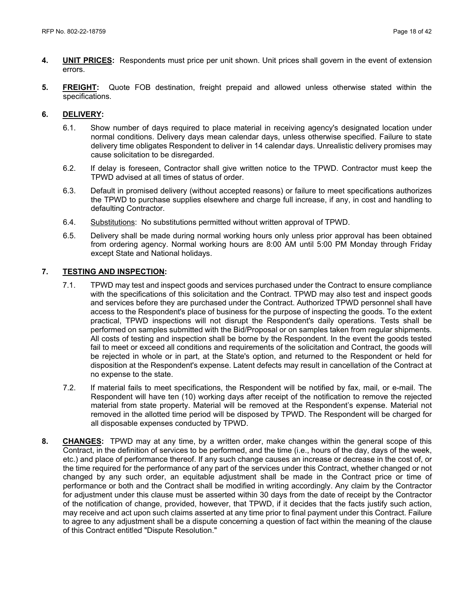- **4. UNIT PRICES:** Respondents must price per unit shown. Unit prices shall govern in the event of extension errors.
- **5. FREIGHT:** Quote FOB destination, freight prepaid and allowed unless otherwise stated within the specifications.

#### **6. DELIVERY:**

- 6.1. Show number of days required to place material in receiving agency's designated location under normal conditions. Delivery days mean calendar days, unless otherwise specified. Failure to state delivery time obligates Respondent to deliver in 14 calendar days. Unrealistic delivery promises may cause solicitation to be disregarded.
- 6.2. If delay is foreseen, Contractor shall give written notice to the TPWD. Contractor must keep the TPWD advised at all times of status of order.
- 6.3. Default in promised delivery (without accepted reasons) or failure to meet specifications authorizes the TPWD to purchase supplies elsewhere and charge full increase, if any, in cost and handling to defaulting Contractor.
- 6.4. Substitutions: No substitutions permitted without written approval of TPWD.
- 6.5. Delivery shall be made during normal working hours only unless prior approval has been obtained from ordering agency. Normal working hours are 8:00 AM until 5:00 PM Monday through Friday except State and National holidays.

#### **7. TESTING AND INSPECTION:**

- 7.1. TPWD may test and inspect goods and services purchased under the Contract to ensure compliance with the specifications of this solicitation and the Contract. TPWD may also test and inspect goods and services before they are purchased under the Contract. Authorized TPWD personnel shall have access to the Respondent's place of business for the purpose of inspecting the goods. To the extent practical, TPWD inspections will not disrupt the Respondent's daily operations. Tests shall be performed on samples submitted with the Bid/Proposal or on samples taken from regular shipments. All costs of testing and inspection shall be borne by the Respondent. In the event the goods tested fail to meet or exceed all conditions and requirements of the solicitation and Contract, the goods will be rejected in whole or in part, at the State's option, and returned to the Respondent or held for disposition at the Respondent's expense. Latent defects may result in cancellation of the Contract at no expense to the state.
- 7.2. If material fails to meet specifications, the Respondent will be notified by fax, mail, or e-mail. The Respondent will have ten (10) working days after receipt of the notification to remove the rejected material from state property. Material will be removed at the Respondent's expense. Material not removed in the allotted time period will be disposed by TPWD. The Respondent will be charged for all disposable expenses conducted by TPWD.
- **8. CHANGES:** TPWD may at any time, by a written order, make changes within the general scope of this Contract, in the definition of services to be performed, and the time (i.e., hours of the day, days of the week, etc.) and place of performance thereof. If any such change causes an increase or decrease in the cost of, or the time required for the performance of any part of the services under this Contract, whether changed or not changed by any such order, an equitable adjustment shall be made in the Contract price or time of performance or both and the Contract shall be modified in writing accordingly. Any claim by the Contractor for adjustment under this clause must be asserted within 30 days from the date of receipt by the Contractor of the notification of change, provided, however, that TPWD, if it decides that the facts justify such action, may receive and act upon such claims asserted at any time prior to final payment under this Contract. Failure to agree to any adjustment shall be a dispute concerning a question of fact within the meaning of the clause of this Contract entitled "Dispute Resolution."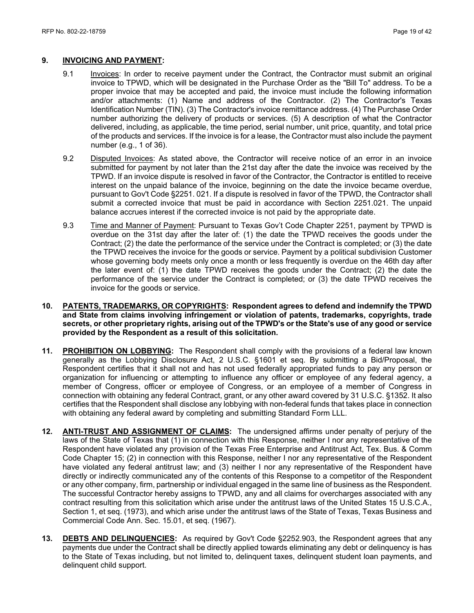#### **9. INVOICING AND PAYMENT:**

- 9.1 Invoices: In order to receive payment under the Contract, the Contractor must submit an original invoice to TPWD, which will be designated in the Purchase Order as the "Bill To" address. To be a proper invoice that may be accepted and paid, the invoice must include the following information and/or attachments: (1) Name and address of the Contractor. (2) The Contractor's Texas Identification Number (TIN). (3) The Contractor's invoice remittance address. (4) The Purchase Order number authorizing the delivery of products or services. (5) A description of what the Contractor delivered, including, as applicable, the time period, serial number, unit price, quantity, and total price of the products and services. If the invoice is for a lease, the Contractor must also include the payment number (e.g., 1 of 36).
- 9.2 Disputed Invoices: As stated above, the Contractor will receive notice of an error in an invoice submitted for payment by not later than the 21st day after the date the invoice was received by the TPWD. If an invoice dispute is resolved in favor of the Contractor, the Contractor is entitled to receive interest on the unpaid balance of the invoice, beginning on the date the invoice became overdue, pursuant to Gov't Code §2251. 021. If a dispute is resolved in favor of the TPWD, the Contractor shall submit a corrected invoice that must be paid in accordance with Section 2251.021. The unpaid balance accrues interest if the corrected invoice is not paid by the appropriate date.
- 9.3 Time and Manner of Payment: Pursuant to Texas Gov't Code Chapter 2251, payment by TPWD is overdue on the 31st day after the later of: (1) the date the TPWD receives the goods under the Contract; (2) the date the performance of the service under the Contract is completed; or (3) the date the TPWD receives the invoice for the goods or service. Payment by a political subdivision Customer whose governing body meets only once a month or less frequently is overdue on the 46th day after the later event of: (1) the date TPWD receives the goods under the Contract; (2) the date the performance of the service under the Contract is completed; or (3) the date TPWD receives the invoice for the goods or service.
- **10. PATENTS, TRADEMARKS, OR COPYRIGHTS: Respondent agrees to defend and indemnify the TPWD and State from claims involving infringement or violation of patents, trademarks, copyrights, trade secrets, or other proprietary rights, arising out of the TPWD's or the State's use of any good or service provided by the Respondent as a result of this solicitation.**
- **11. PROHIBITION ON LOBBYING:** The Respondent shall comply with the provisions of a federal law known generally as the Lobbying Disclosure Act, 2 U.S.C. §1601 et seq. By submitting a Bid/Proposal, the Respondent certifies that it shall not and has not used federally appropriated funds to pay any person or organization for influencing or attempting to influence any officer or employee of any federal agency, a member of Congress, officer or employee of Congress, or an employee of a member of Congress in connection with obtaining any federal Contract, grant, or any other award covered by 31 U.S.C. §1352. It also certifies that the Respondent shall disclose any lobbying with non-federal funds that takes place in connection with obtaining any federal award by completing and submitting Standard Form LLL.
- **12. ANTI-TRUST AND ASSIGNMENT OF CLAIMS:** The undersigned affirms under penalty of perjury of the laws of the State of Texas that (1) in connection with this Response, neither I nor any representative of the Respondent have violated any provision of the Texas Free Enterprise and Antitrust Act, Tex. Bus. & Comm Code Chapter 15; (2) in connection with this Response, neither I nor any representative of the Respondent have violated any federal antitrust law; and (3) neither I nor any representative of the Respondent have directly or indirectly communicated any of the contents of this Response to a competitor of the Respondent or any other company, firm, partnership or individual engaged in the same line of business as the Respondent. The successful Contractor hereby assigns to TPWD, any and all claims for overcharges associated with any contract resulting from this solicitation which arise under the antitrust laws of the United States 15 U.S.C.A., Section 1, et seq. (1973), and which arise under the antitrust laws of the State of Texas, Texas Business and Commercial Code Ann. Sec. 15.01, et seq. (1967).
- **13. DEBTS AND DELINQUENCIES:** As required by Gov't Code §2252.903, the Respondent agrees that any payments due under the Contract shall be directly applied towards eliminating any debt or delinquency is has to the State of Texas including, but not limited to, delinquent taxes, delinquent student loan payments, and delinquent child support.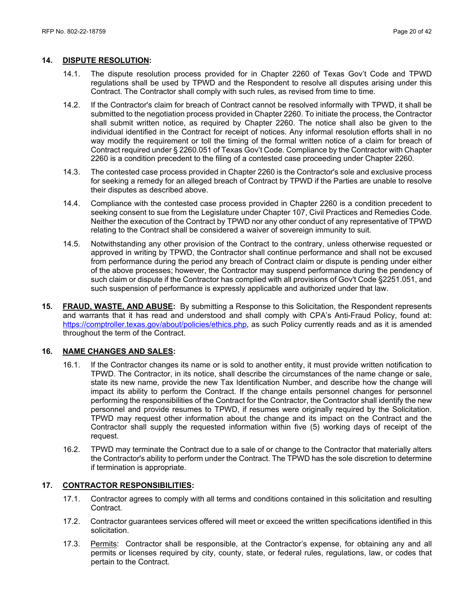#### **14. DISPUTE RESOLUTION:**

- 14.1. The dispute resolution process provided for in Chapter 2260 of Texas Gov't Code and TPWD regulations shall be used by TPWD and the Respondent to resolve all disputes arising under this Contract. The Contractor shall comply with such rules, as revised from time to time.
- 14.2. If the Contractor's claim for breach of Contract cannot be resolved informally with TPWD, it shall be submitted to the negotiation process provided in Chapter 2260. To initiate the process, the Contractor shall submit written notice, as required by Chapter 2260. The notice shall also be given to the individual identified in the Contract for receipt of notices. Any informal resolution efforts shall in no way modify the requirement or toll the timing of the formal written notice of a claim for breach of Contract required under § 2260.051 of Texas Gov't Code. Compliance by the Contractor with Chapter 2260 is a condition precedent to the filing of a contested case proceeding under Chapter 2260.
- 14.3. The contested case process provided in Chapter 2260 is the Contractor's sole and exclusive process for seeking a remedy for an alleged breach of Contract by TPWD if the Parties are unable to resolve their disputes as described above.
- 14.4. Compliance with the contested case process provided in Chapter 2260 is a condition precedent to seeking consent to sue from the Legislature under Chapter 107, Civil Practices and Remedies Code. Neither the execution of the Contract by TPWD nor any other conduct of any representative of TPWD relating to the Contract shall be considered a waiver of sovereign immunity to suit.
- 14.5. Notwithstanding any other provision of the Contract to the contrary, unless otherwise requested or approved in writing by TPWD, the Contractor shall continue performance and shall not be excused from performance during the period any breach of Contract claim or dispute is pending under either of the above processes; however, the Contractor may suspend performance during the pendency of such claim or dispute if the Contractor has complied with all provisions of Gov't Code §2251.051, and such suspension of performance is expressly applicable and authorized under that law.
- **15. FRAUD, WASTE, AND ABUSE:** By submitting a Response to this Solicitation, the Respondent represents and warrants that it has read and understood and shall comply with CPA's Anti-Fraud Policy, found at: https://comptroller.texas.gov/about/policies/ethics.php, as such Policy currently reads and as it is amended throughout the term of the Contract.

#### **16. NAME CHANGES AND SALES:**

- 16.1. If the Contractor changes its name or is sold to another entity, it must provide written notification to TPWD. The Contractor, in its notice, shall describe the circumstances of the name change or sale, state its new name, provide the new Tax Identification Number, and describe how the change will impact its ability to perform the Contract. If the change entails personnel changes for personnel performing the responsibilities of the Contract for the Contractor, the Contractor shall identify the new personnel and provide resumes to TPWD, if resumes were originally required by the Solicitation. TPWD may request other information about the change and its impact on the Contract and the Contractor shall supply the requested information within five (5) working days of receipt of the request.
- 16.2. TPWD may terminate the Contract due to a sale of or change to the Contractor that materially alters the Contractor's ability to perform under the Contract. The TPWD has the sole discretion to determine if termination is appropriate.

#### **17. CONTRACTOR RESPONSIBILITIES:**

- 17.1. Contractor agrees to comply with all terms and conditions contained in this solicitation and resulting Contract.
- 17.2. Contractor guarantees services offered will meet or exceed the written specifications identified in this solicitation.
- 17.3. Permits: Contractor shall be responsible, at the Contractor's expense, for obtaining any and all permits or licenses required by city, county, state, or federal rules, regulations, law, or codes that pertain to the Contract.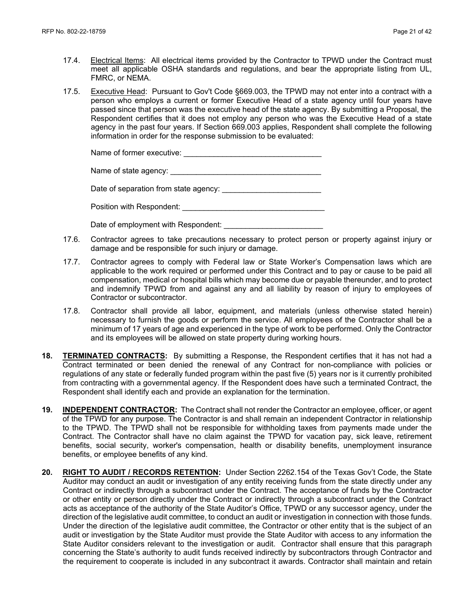- 17.4. Electrical Items: All electrical items provided by the Contractor to TPWD under the Contract must meet all applicable OSHA standards and regulations, and bear the appropriate listing from UL, FMRC, or NEMA.
- 17.5. Executive Head: Pursuant to Gov't Code §669.003, the TPWD may not enter into a contract with a person who employs a current or former Executive Head of a state agency until four years have passed since that person was the executive head of the state agency. By submitting a Proposal, the Respondent certifies that it does not employ any person who was the Executive Head of a state agency in the past four years. If Section 669.003 applies, Respondent shall complete the following information in order for the response submission to be evaluated:

| Name of former executive: |  |
|---------------------------|--|
|                           |  |

Name of state agency: **example 20** 

Date of separation from state agency: Date of separation from state agency:

Position with Respondent: \_\_\_\_\_\_\_\_\_\_\_\_\_\_\_\_\_\_\_\_\_\_\_\_\_\_\_\_\_\_\_\_\_

Date of employment with Respondent:

- 17.6. Contractor agrees to take precautions necessary to protect person or property against injury or damage and be responsible for such injury or damage.
- 17.7. Contractor agrees to comply with Federal law or State Worker's Compensation laws which are applicable to the work required or performed under this Contract and to pay or cause to be paid all compensation, medical or hospital bills which may become due or payable thereunder, and to protect and indemnify TPWD from and against any and all liability by reason of injury to employees of Contractor or subcontractor.
- 17.8. Contractor shall provide all labor, equipment, and materials (unless otherwise stated herein) necessary to furnish the goods or perform the service. All employees of the Contractor shall be a minimum of 17 years of age and experienced in the type of work to be performed. Only the Contractor and its employees will be allowed on state property during working hours.
- **18. TERMINATED CONTRACTS:** By submitting a Response, the Respondent certifies that it has not had a Contract terminated or been denied the renewal of any Contract for non-compliance with policies or regulations of any state or federally funded program within the past five (5) years nor is it currently prohibited from contracting with a governmental agency. If the Respondent does have such a terminated Contract, the Respondent shall identify each and provide an explanation for the termination.
- **19. INDEPENDENT CONTRACTOR:** The Contract shall not render the Contractor an employee, officer, or agent of the TPWD for any purpose. The Contractor is and shall remain an independent Contractor in relationship to the TPWD. The TPWD shall not be responsible for withholding taxes from payments made under the Contract. The Contractor shall have no claim against the TPWD for vacation pay, sick leave, retirement benefits, social security, worker's compensation, health or disability benefits, unemployment insurance benefits, or employee benefits of any kind.
- **20. RIGHT TO AUDIT / RECORDS RETENTION:** Under Section 2262.154 of the Texas Gov't Code, the State Auditor may conduct an audit or investigation of any entity receiving funds from the state directly under any Contract or indirectly through a subcontract under the Contract. The acceptance of funds by the Contractor or other entity or person directly under the Contract or indirectly through a subcontract under the Contract acts as acceptance of the authority of the State Auditor's Office, TPWD or any successor agency, under the direction of the legislative audit committee, to conduct an audit or investigation in connection with those funds. Under the direction of the legislative audit committee, the Contractor or other entity that is the subject of an audit or investigation by the State Auditor must provide the State Auditor with access to any information the State Auditor considers relevant to the investigation or audit. Contractor shall ensure that this paragraph concerning the State's authority to audit funds received indirectly by subcontractors through Contractor and the requirement to cooperate is included in any subcontract it awards. Contractor shall maintain and retain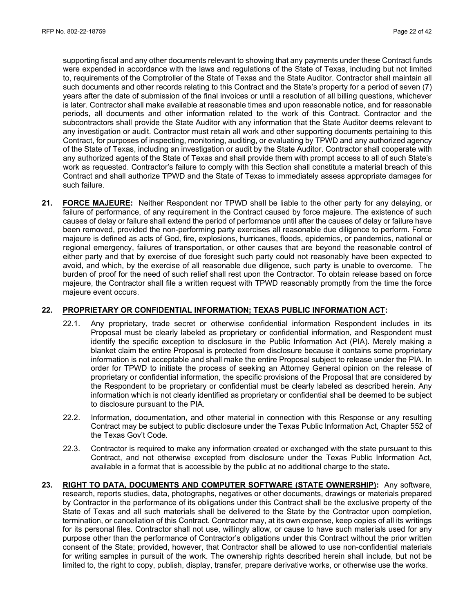supporting fiscal and any other documents relevant to showing that any payments under these Contract funds were expended in accordance with the laws and regulations of the State of Texas, including but not limited to, requirements of the Comptroller of the State of Texas and the State Auditor. Contractor shall maintain all such documents and other records relating to this Contract and the State's property for a period of seven (7) years after the date of submission of the final invoices or until a resolution of all billing questions, whichever is later. Contractor shall make available at reasonable times and upon reasonable notice, and for reasonable periods, all documents and other information related to the work of this Contract. Contractor and the subcontractors shall provide the State Auditor with any information that the State Auditor deems relevant to any investigation or audit. Contractor must retain all work and other supporting documents pertaining to this Contract, for purposes of inspecting, monitoring, auditing, or evaluating by TPWD and any authorized agency of the State of Texas, including an investigation or audit by the State Auditor. Contractor shall cooperate with any authorized agents of the State of Texas and shall provide them with prompt access to all of such State's work as requested. Contractor's failure to comply with this Section shall constitute a material breach of this Contract and shall authorize TPWD and the State of Texas to immediately assess appropriate damages for such failure.

**21. FORCE MAJEURE:** Neither Respondent nor TPWD shall be liable to the other party for any delaying, or failure of performance, of any requirement in the Contract caused by force majeure. The existence of such causes of delay or failure shall extend the period of performance until after the causes of delay or failure have been removed, provided the non-performing party exercises all reasonable due diligence to perform. Force majeure is defined as acts of God, fire, explosions, hurricanes, floods, epidemics, or pandemics, national or regional emergency, failures of transportation, or other causes that are beyond the reasonable control of either party and that by exercise of due foresight such party could not reasonably have been expected to avoid, and which, by the exercise of all reasonable due diligence, such party is unable to overcome. The burden of proof for the need of such relief shall rest upon the Contractor. To obtain release based on force majeure, the Contractor shall file a written request with TPWD reasonably promptly from the time the force majeure event occurs.

#### **22. PROPRIETARY OR CONFIDENTIAL INFORMATION; TEXAS PUBLIC INFORMATION ACT:**

- 22.1. Any proprietary, trade secret or otherwise confidential information Respondent includes in its Proposal must be clearly labeled as proprietary or confidential information, and Respondent must identify the specific exception to disclosure in the Public Information Act (PIA). Merely making a blanket claim the entire Proposal is protected from disclosure because it contains some proprietary information is not acceptable and shall make the entire Proposal subject to release under the PIA. In order for TPWD to initiate the process of seeking an Attorney General opinion on the release of proprietary or confidential information, the specific provisions of the Proposal that are considered by the Respondent to be proprietary or confidential must be clearly labeled as described herein. Any information which is not clearly identified as proprietary or confidential shall be deemed to be subject to disclosure pursuant to the PIA.
- 22.2. Information, documentation, and other material in connection with this Response or any resulting Contract may be subject to public disclosure under the Texas Public Information Act, Chapter 552 of the Texas Gov't Code.
- 22.3. Contractor is required to make any information created or exchanged with the state pursuant to this Contract, and not otherwise excepted from disclosure under the Texas Public Information Act, available in a format that is accessible by the public at no additional charge to the state**.**
- **23. RIGHT TO DATA, DOCUMENTS AND COMPUTER SOFTWARE (STATE OWNERSHIP):** Any software, research, reports studies, data, photographs, negatives or other documents, drawings or materials prepared by Contractor in the performance of its obligations under this Contract shall be the exclusive property of the State of Texas and all such materials shall be delivered to the State by the Contractor upon completion, termination, or cancellation of this Contract. Contractor may, at its own expense, keep copies of all its writings for its personal files. Contractor shall not use, willingly allow, or cause to have such materials used for any purpose other than the performance of Contractor's obligations under this Contract without the prior written consent of the State; provided, however, that Contractor shall be allowed to use non-confidential materials for writing samples in pursuit of the work. The ownership rights described herein shall include, but not be limited to, the right to copy, publish, display, transfer, prepare derivative works, or otherwise use the works.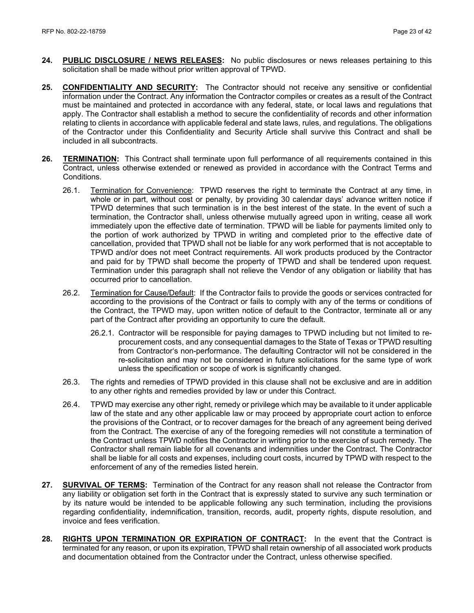- **24. PUBLIC DISCLOSURE / NEWS RELEASES:** No public disclosures or news releases pertaining to this solicitation shall be made without prior written approval of TPWD.
- **25. CONFIDENTIALITY AND SECURITY:** The Contractor should not receive any sensitive or confidential information under the Contract. Any information the Contractor compiles or creates as a result of the Contract must be maintained and protected in accordance with any federal, state, or local laws and regulations that apply. The Contractor shall establish a method to secure the confidentiality of records and other information relating to clients in accordance with applicable federal and state laws, rules, and regulations. The obligations of the Contractor under this Confidentiality and Security Article shall survive this Contract and shall be included in all subcontracts.
- **26. TERMINATION:** This Contract shall terminate upon full performance of all requirements contained in this Contract, unless otherwise extended or renewed as provided in accordance with the Contract Terms and Conditions.
	- 26.1. Termination for Convenience: TPWD reserves the right to terminate the Contract at any time, in whole or in part, without cost or penalty, by providing 30 calendar days' advance written notice if TPWD determines that such termination is in the best interest of the state. In the event of such a termination, the Contractor shall, unless otherwise mutually agreed upon in writing, cease all work immediately upon the effective date of termination. TPWD will be liable for payments limited only to the portion of work authorized by TPWD in writing and completed prior to the effective date of cancellation, provided that TPWD shall not be liable for any work performed that is not acceptable to TPWD and/or does not meet Contract requirements. All work products produced by the Contractor and paid for by TPWD shall become the property of TPWD and shall be tendered upon request. Termination under this paragraph shall not relieve the Vendor of any obligation or liability that has occurred prior to cancellation.
	- 26.2. Termination for Cause/Default: If the Contractor fails to provide the goods or services contracted for according to the provisions of the Contract or fails to comply with any of the terms or conditions of the Contract, the TPWD may, upon written notice of default to the Contractor, terminate all or any part of the Contract after providing an opportunity to cure the default.
		- 26.2.1. Contractor will be responsible for paying damages to TPWD including but not limited to reprocurement costs, and any consequential damages to the State of Texas or TPWD resulting from Contractor's non-performance. The defaulting Contractor will not be considered in the re-solicitation and may not be considered in future solicitations for the same type of work unless the specification or scope of work is significantly changed.
	- 26.3. The rights and remedies of TPWD provided in this clause shall not be exclusive and are in addition to any other rights and remedies provided by law or under this Contract.
	- 26.4. TPWD may exercise any other right, remedy or privilege which may be available to it under applicable law of the state and any other applicable law or may proceed by appropriate court action to enforce the provisions of the Contract, or to recover damages for the breach of any agreement being derived from the Contract. The exercise of any of the foregoing remedies will not constitute a termination of the Contract unless TPWD notifies the Contractor in writing prior to the exercise of such remedy. The Contractor shall remain liable for all covenants and indemnities under the Contract. The Contractor shall be liable for all costs and expenses, including court costs, incurred by TPWD with respect to the enforcement of any of the remedies listed herein.
- **27. SURVIVAL OF TERMS:** Termination of the Contract for any reason shall not release the Contractor from any liability or obligation set forth in the Contract that is expressly stated to survive any such termination or by its nature would be intended to be applicable following any such termination, including the provisions regarding confidentiality, indemnification, transition, records, audit, property rights, dispute resolution, and invoice and fees verification.
- **28. RIGHTS UPON TERMINATION OR EXPIRATION OF CONTRACT:** In the event that the Contract is terminated for any reason, or upon its expiration, TPWD shall retain ownership of all associated work products and documentation obtained from the Contractor under the Contract, unless otherwise specified.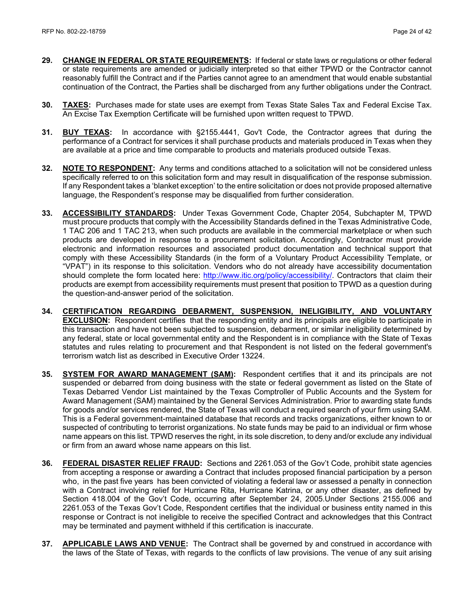- **29. CHANGE IN FEDERAL OR STATE REQUIREMENTS:** If federal or state laws or regulations or other federal or state requirements are amended or judicially interpreted so that either TPWD or the Contractor cannot reasonably fulfill the Contract and if the Parties cannot agree to an amendment that would enable substantial continuation of the Contract, the Parties shall be discharged from any further obligations under the Contract.
- **30. TAXES:** Purchases made for state uses are exempt from Texas State Sales Tax and Federal Excise Tax. An Excise Tax Exemption Certificate will be furnished upon written request to TPWD.
- **31. BUY TEXAS:** In accordance with §2155.4441, Gov't Code, the Contractor agrees that during the performance of a Contract for services it shall purchase products and materials produced in Texas when they are available at a price and time comparable to products and materials produced outside Texas.
- **32. NOTE TO RESPONDENT:** Any terms and conditions attached to a solicitation will not be considered unless specifically referred to on this solicitation form and may result in disqualification of the response submission. If any Respondent takes a 'blanket exception' to the entire solicitation or does not provide proposed alternative language, the Respondent's response may be disqualified from further consideration.
- **33. ACCESSIBILITY STANDARDS:** Under Texas Government Code, Chapter 2054, Subchapter M, TPWD must procure products that comply with the Accessibility Standards defined in the Texas Administrative Code, 1 TAC 206 and 1 TAC 213, when such products are available in the commercial marketplace or when such products are developed in response to a procurement solicitation. Accordingly, Contractor must provide electronic and information resources and associated product documentation and technical support that comply with these Accessibility Standards (in the form of a Voluntary Product Accessibility Template, or "VPAT") in its response to this solicitation. Vendors who do not already have accessibility documentation should complete the form located here: [http://www.itic.org/policy/accessibility/.](http://www.itic.org/policy/accessibility/) Contractors that claim their products are exempt from accessibility requirements must present that position to TPWD as a question during the question-and-answer period of the solicitation.
- **34. CERTIFICATION REGARDING DEBARMENT, SUSPENSION, INELIGIBILITY, AND VOLUNTARY EXCLUSION:** Respondent certifies that the responding entity and its principals are eligible to participate in this transaction and have not been subjected to suspension, debarment, or similar ineligibility determined by any federal, state or local governmental entity and the Respondent is in compliance with the State of Texas statutes and rules relating to procurement and that Respondent is not listed on the federal government's terrorism watch list as described in Executive Order 13224.
- **35. SYSTEM FOR AWARD MANAGEMENT (SAM):** Respondent certifies that it and its principals are not suspended or debarred from doing business with the state or federal government as listed on the State of Texas Debarred Vendor List maintained by the Texas Comptroller of Public Accounts and the System for Award Management (SAM) maintained by the General Services Administration. Prior to awarding state funds for goods and/or services rendered, the State of Texas will conduct a required search of your firm using SAM. This is a Federal government-maintained database that records and tracks organizations, either known to or suspected of contributing to terrorist organizations. No state funds may be paid to an individual or firm whose name appears on this list. TPWD reserves the right, in its sole discretion, to deny and/or exclude any individual or firm from an award whose name appears on this list.
- **36. FEDERAL DISASTER RELIEF FRAUD:** Sections and 2261.053 of the Gov't Code, prohibit state agencies from accepting a response or awarding a Contract that includes proposed financial participation by a person who, in the past five years has been convicted of violating a federal law or assessed a penalty in connection with a Contract involving relief for Hurricane Rita, Hurricane Katrina, or any other disaster, as defined by Section 418.004 of the Gov't Code, occurring after September 24, 2005.Under Sections 2155.006 and 2261.053 of the Texas Gov't Code, Respondent certifies that the individual or business entity named in this response or Contract is not ineligible to receive the specified Contract and acknowledges that this Contract may be terminated and payment withheld if this certification is inaccurate.
- **37. APPLICABLE LAWS AND VENUE:** The Contract shall be governed by and construed in accordance with the laws of the State of Texas, with regards to the conflicts of law provisions. The venue of any suit arising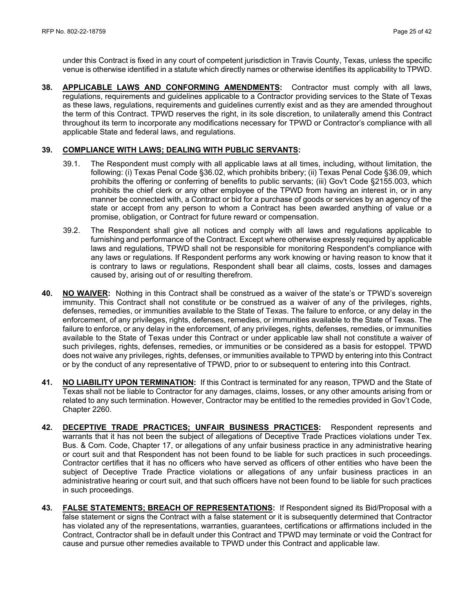under this Contract is fixed in any court of competent jurisdiction in Travis County, Texas, unless the specific venue is otherwise identified in a statute which directly names or otherwise identifies its applicability to TPWD.

**38. APPLICABLE LAWS AND CONFORMING AMENDMENTS:** Contractor must comply with all laws, regulations, requirements and guidelines applicable to a Contractor providing services to the State of Texas as these laws, regulations, requirements and guidelines currently exist and as they are amended throughout the term of this Contract. TPWD reserves the right, in its sole discretion, to unilaterally amend this Contract throughout its term to incorporate any modifications necessary for TPWD or Contractor's compliance with all applicable State and federal laws, and regulations.

#### **39. COMPLIANCE WITH LAWS; DEALING WITH PUBLIC SERVANTS:**

- 39.1. The Respondent must comply with all applicable laws at all times, including, without limitation, the following: (i) Texas Penal Code §36.02, which prohibits bribery; (ii) Texas Penal Code §36.09, which prohibits the offering or conferring of benefits to public servants; (iii) Gov't Code §2155.003, which prohibits the chief clerk or any other employee of the TPWD from having an interest in, or in any manner be connected with, a Contract or bid for a purchase of goods or services by an agency of the state or accept from any person to whom a Contract has been awarded anything of value or a promise, obligation, or Contract for future reward or compensation.
- 39.2. The Respondent shall give all notices and comply with all laws and regulations applicable to furnishing and performance of the Contract. Except where otherwise expressly required by applicable laws and regulations, TPWD shall not be responsible for monitoring Respondent's compliance with any laws or regulations. If Respondent performs any work knowing or having reason to know that it is contrary to laws or regulations, Respondent shall bear all claims, costs, losses and damages caused by, arising out of or resulting therefrom.
- **40. NO WAIVER:** Nothing in this Contract shall be construed as a waiver of the state's or TPWD's sovereign immunity. This Contract shall not constitute or be construed as a waiver of any of the privileges, rights, defenses, remedies, or immunities available to the State of Texas. The failure to enforce, or any delay in the enforcement, of any privileges, rights, defenses, remedies, or immunities available to the State of Texas. The failure to enforce, or any delay in the enforcement, of any privileges, rights, defenses, remedies, or immunities available to the State of Texas under this Contract or under applicable law shall not constitute a waiver of such privileges, rights, defenses, remedies, or immunities or be considered as a basis for estoppel. TPWD does not waive any privileges, rights, defenses, or immunities available to TPWD by entering into this Contract or by the conduct of any representative of TPWD, prior to or subsequent to entering into this Contract.
- **41. NO LIABILITY UPON TERMINATION:** If this Contract is terminated for any reason, TPWD and the State of Texas shall not be liable to Contractor for any damages, claims, losses, or any other amounts arising from or related to any such termination. However, Contractor may be entitled to the remedies provided in Gov't Code, Chapter 2260.
- **42. DECEPTIVE TRADE PRACTICES; UNFAIR BUSINESS PRACTICES:** Respondent represents and warrants that it has not been the subject of allegations of Deceptive Trade Practices violations under Tex. Bus. & Com. Code, Chapter 17, or allegations of any unfair business practice in any administrative hearing or court suit and that Respondent has not been found to be liable for such practices in such proceedings. Contractor certifies that it has no officers who have served as officers of other entities who have been the subject of Deceptive Trade Practice violations or allegations of any unfair business practices in an administrative hearing or court suit, and that such officers have not been found to be liable for such practices in such proceedings.
- **43. FALSE STATEMENTS; BREACH OF REPRESENTATIONS:** If Respondent signed its Bid/Proposal with a false statement or signs the Contract with a false statement or it is subsequently determined that Contractor has violated any of the representations, warranties, guarantees, certifications or affirmations included in the Contract, Contractor shall be in default under this Contract and TPWD may terminate or void the Contract for cause and pursue other remedies available to TPWD under this Contract and applicable law.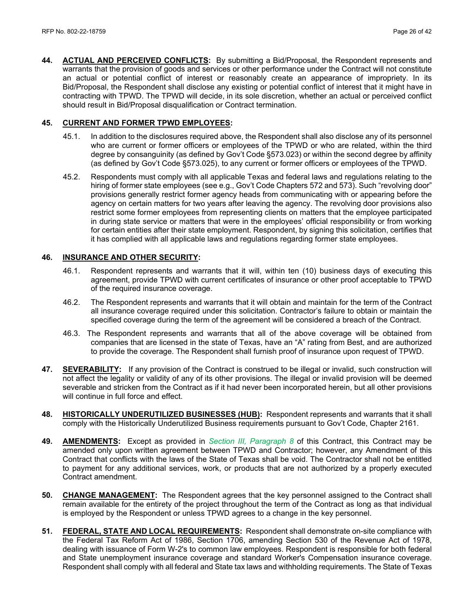**44. ACTUAL AND PERCEIVED CONFLICTS:** By submitting a Bid/Proposal, the Respondent represents and warrants that the provision of goods and services or other performance under the Contract will not constitute an actual or potential conflict of interest or reasonably create an appearance of impropriety. In its Bid/Proposal, the Respondent shall disclose any existing or potential conflict of interest that it might have in contracting with TPWD. The TPWD will decide, in its sole discretion, whether an actual or perceived conflict should result in Bid/Proposal disqualification or Contract termination.

#### **45. CURRENT AND FORMER TPWD EMPLOYEES:**

- 45.1. In addition to the disclosures required above, the Respondent shall also disclose any of its personnel who are current or former officers or employees of the TPWD or who are related, within the third degree by consanguinity (as defined by Gov't Code §573.023) or within the second degree by affinity (as defined by Gov't Code §573.025), to any current or former officers or employees of the TPWD.
- 45.2. Respondents must comply with all applicable Texas and federal laws and regulations relating to the hiring of former state employees (see e.g., Gov't Code Chapters 572 and 573). Such "revolving door" provisions generally restrict former agency heads from communicating with or appearing before the agency on certain matters for two years after leaving the agency. The revolving door provisions also restrict some former employees from representing clients on matters that the employee participated in during state service or matters that were in the employees' official responsibility or from working for certain entities after their state employment. Respondent, by signing this solicitation, certifies that it has complied with all applicable laws and regulations regarding former state employees.

#### **46. INSURANCE AND OTHER SECURITY:**

- 46.1. Respondent represents and warrants that it will, within ten (10) business days of executing this agreement, provide TPWD with current certificates of insurance or other proof acceptable to TPWD of the required insurance coverage.
- 46.2. The Respondent represents and warrants that it will obtain and maintain for the term of the Contract all insurance coverage required under this solicitation. Contractor's failure to obtain or maintain the specified coverage during the term of the agreement will be considered a breach of the Contract.
- 46.3. The Respondent represents and warrants that all of the above coverage will be obtained from companies that are licensed in the state of Texas, have an "A" rating from Best, and are authorized to provide the coverage. The Respondent shall furnish proof of insurance upon request of TPWD.
- **47. SEVERABILITY:** If any provision of the Contract is construed to be illegal or invalid, such construction will not affect the legality or validity of any of its other provisions. The illegal or invalid provision will be deemed severable and stricken from the Contract as if it had never been incorporated herein, but all other provisions will continue in full force and effect.
- **48. HISTORICALLY UNDERUTILIZED BUSINESSES (HUB):** Respondent represents and warrants that it shall comply with the Historically Underutilized Business requirements pursuant to Gov't Code, Chapter 2161.
- **49. AMENDMENTS:** Except as provided in *Section III, Paragraph 8* of this Contract, this Contract may be amended only upon written agreement between TPWD and Contractor; however, any Amendment of this Contract that conflicts with the laws of the State of Texas shall be void. The Contractor shall not be entitled to payment for any additional services, work, or products that are not authorized by a properly executed Contract amendment.
- **50. CHANGE MANAGEMENT:** The Respondent agrees that the key personnel assigned to the Contract shall remain available for the entirety of the project throughout the term of the Contract as long as that individual is employed by the Respondent or unless TPWD agrees to a change in the key personnel.
- **51. FEDERAL, STATE AND LOCAL REQUIREMENTS:** Respondent shall demonstrate on-site compliance with the Federal Tax Reform Act of 1986, Section 1706, amending Section 530 of the Revenue Act of 1978, dealing with issuance of Form W-2's to common law employees. Respondent is responsible for both federal and State unemployment insurance coverage and standard Worker's Compensation insurance coverage. Respondent shall comply with all federal and State tax laws and withholding requirements. The State of Texas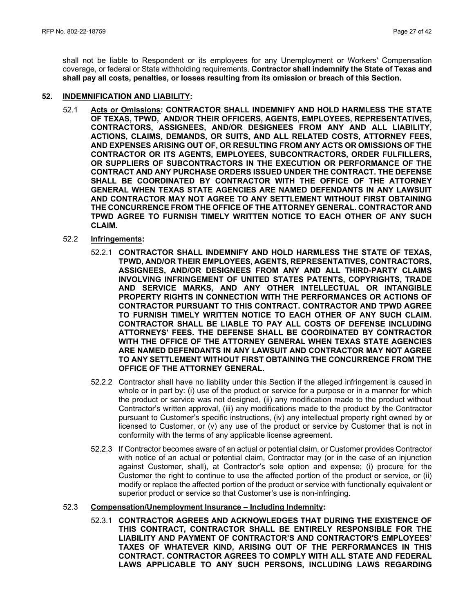shall not be liable to Respondent or its employees for any Unemployment or Workers' Compensation coverage, or federal or State withholding requirements. **Contractor shall indemnify the State of Texas and shall pay all costs, penalties, or losses resulting from its omission or breach of this Section.**

#### **52. INDEMNIFICATION AND LIABILITY:**

- 52.1 **Acts or Omissions: CONTRACTOR SHALL INDEMNIFY AND HOLD HARMLESS THE STATE OF TEXAS, TPWD, AND/OR THEIR OFFICERS, AGENTS, EMPLOYEES, REPRESENTATIVES, CONTRACTORS, ASSIGNEES, AND/OR DESIGNEES FROM ANY AND ALL LIABILITY, ACTIONS, CLAIMS, DEMANDS, OR SUITS, AND ALL RELATED COSTS, ATTORNEY FEES, AND EXPENSES ARISING OUT OF, OR RESULTING FROM ANY ACTS OR OMISSIONS OF THE CONTRACTOR OR ITS AGENTS, EMPLOYEES, SUBCONTRACTORS, ORDER FULFILLERS, OR SUPPLIERS OF SUBCONTRACTORS IN THE EXECUTION OR PERFORMANCE OF THE CONTRACT AND ANY PURCHASE ORDERS ISSUED UNDER THE CONTRACT. THE DEFENSE SHALL BE COORDINATED BY CONTRACTOR WITH THE OFFICE OF THE ATTORNEY GENERAL WHEN TEXAS STATE AGENCIES ARE NAMED DEFENDANTS IN ANY LAWSUIT AND CONTRACTOR MAY NOT AGREE TO ANY SETTLEMENT WITHOUT FIRST OBTAINING THE CONCURRENCE FROM THE OFFICE OF THE ATTORNEY GENERAL. CONTRACTOR AND TPWD AGREE TO FURNISH TIMELY WRITTEN NOTICE TO EACH OTHER OF ANY SUCH CLAIM.**
- 52.2 **Infringements:**
	- 52.2.1 **CONTRACTOR SHALL INDEMNIFY AND HOLD HARMLESS THE STATE OF TEXAS, TPWD, AND/OR THEIR EMPLOYEES, AGENTS, REPRESENTATIVES, CONTRACTORS, ASSIGNEES, AND/OR DESIGNEES FROM ANY AND ALL THIRD-PARTY CLAIMS INVOLVING INFRINGEMENT OF UNITED STATES PATENTS, COPYRIGHTS, TRADE AND SERVICE MARKS, AND ANY OTHER INTELLECTUAL OR INTANGIBLE PROPERTY RIGHTS IN CONNECTION WITH THE PERFORMANCES OR ACTIONS OF CONTRACTOR PURSUANT TO THIS CONTRACT. CONTRACTOR AND TPWD AGREE TO FURNISH TIMELY WRITTEN NOTICE TO EACH OTHER OF ANY SUCH CLAIM. CONTRACTOR SHALL BE LIABLE TO PAY ALL COSTS OF DEFENSE INCLUDING ATTORNEYS' FEES. THE DEFENSE SHALL BE COORDINATED BY CONTRACTOR WITH THE OFFICE OF THE ATTORNEY GENERAL WHEN TEXAS STATE AGENCIES ARE NAMED DEFENDANTS IN ANY LAWSUIT AND CONTRACTOR MAY NOT AGREE TO ANY SETTLEMENT WITHOUT FIRST OBTAINING THE CONCURRENCE FROM THE OFFICE OF THE ATTORNEY GENERAL.**
	- 52.2.2 Contractor shall have no liability under this Section if the alleged infringement is caused in whole or in part by: (i) use of the product or service for a purpose or in a manner for which the product or service was not designed, (ii) any modification made to the product without Contractor's written approval, (iii) any modifications made to the product by the Contractor pursuant to Customer's specific instructions, (iv) any intellectual property right owned by or licensed to Customer, or (v) any use of the product or service by Customer that is not in conformity with the terms of any applicable license agreement.
	- 52.2.3 If Contractor becomes aware of an actual or potential claim, or Customer provides Contractor with notice of an actual or potential claim, Contractor may (or in the case of an injunction against Customer, shall), at Contractor's sole option and expense; (i) procure for the Customer the right to continue to use the affected portion of the product or service, or (ii) modify or replace the affected portion of the product or service with functionally equivalent or superior product or service so that Customer's use is non-infringing.

#### 52.3 **Compensation/Unemployment Insurance – Including Indemnity:**

52.3.1 **CONTRACTOR AGREES AND ACKNOWLEDGES THAT DURING THE EXISTENCE OF THIS CONTRACT, CONTRACTOR SHALL BE ENTIRELY RESPONSIBLE FOR THE LIABILITY AND PAYMENT OF CONTRACTOR'S AND CONTRACTOR'S EMPLOYEES' TAXES OF WHATEVER KIND, ARISING OUT OF THE PERFORMANCES IN THIS CONTRACT. CONTRACTOR AGREES TO COMPLY WITH ALL STATE AND FEDERAL LAWS APPLICABLE TO ANY SUCH PERSONS, INCLUDING LAWS REGARDING**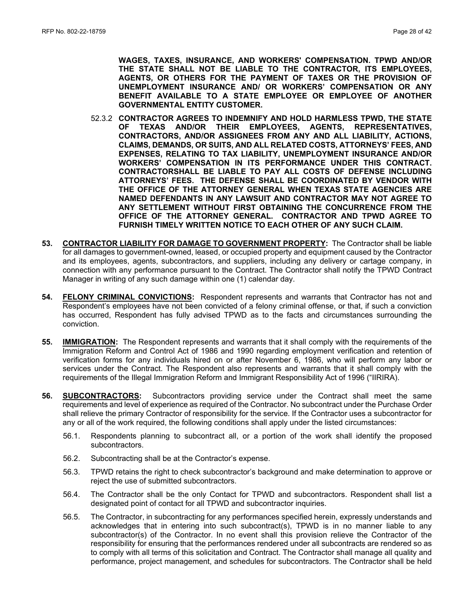**WAGES, TAXES, INSURANCE, AND WORKERS' COMPENSATION. TPWD AND/OR THE STATE SHALL NOT BE LIABLE TO THE CONTRACTOR, ITS EMPLOYEES, AGENTS, OR OTHERS FOR THE PAYMENT OF TAXES OR THE PROVISION OF UNEMPLOYMENT INSURANCE AND/ OR WORKERS' COMPENSATION OR ANY BENEFIT AVAILABLE TO A STATE EMPLOYEE OR EMPLOYEE OF ANOTHER GOVERNMENTAL ENTITY CUSTOMER.**

- 52.3.2 **CONTRACTOR AGREES TO INDEMNIFY AND HOLD HARMLESS TPWD, THE STATE OF TEXAS AND/OR THEIR EMPLOYEES, AGENTS, REPRESENTATIVES, CONTRACTORS, AND/OR ASSIGNEES FROM ANY AND ALL LIABILITY, ACTIONS, CLAIMS, DEMANDS, OR SUITS, AND ALL RELATED COSTS, ATTORNEYS' FEES, AND EXPENSES, RELATING TO TAX LIABILITY, UNEMPLOYMENT INSURANCE AND/OR WORKERS' COMPENSATION IN ITS PERFORMANCE UNDER THIS CONTRACT. CONTRACTORSHALL BE LIABLE TO PAY ALL COSTS OF DEFENSE INCLUDING ATTORNEYS' FEES. THE DEFENSE SHALL BE COORDINATED BY VENDOR WITH THE OFFICE OF THE ATTORNEY GENERAL WHEN TEXAS STATE AGENCIES ARE NAMED DEFENDANTS IN ANY LAWSUIT AND CONTRACTOR MAY NOT AGREE TO ANY SETTLEMENT WITHOUT FIRST OBTAINING THE CONCURRENCE FROM THE OFFICE OF THE ATTORNEY GENERAL. CONTRACTOR AND TPWD AGREE TO FURNISH TIMELY WRITTEN NOTICE TO EACH OTHER OF ANY SUCH CLAIM.**
- **53. CONTRACTOR LIABILITY FOR DAMAGE TO GOVERNMENT PROPERTY:** The Contractor shall be liable for all damages to government-owned, leased, or occupied property and equipment caused by the Contractor and its employees, agents, subcontractors, and suppliers, including any delivery or cartage company, in connection with any performance pursuant to the Contract. The Contractor shall notify the TPWD Contract Manager in writing of any such damage within one (1) calendar day.
- **54. FELONY CRIMINAL CONVICTIONS:** Respondent represents and warrants that Contractor has not and Respondent's employees have not been convicted of a felony criminal offense, or that, if such a conviction has occurred, Respondent has fully advised TPWD as to the facts and circumstances surrounding the conviction.
- **55. IMMIGRATION:** The Respondent represents and warrants that it shall comply with the requirements of the Immigration Reform and Control Act of 1986 and 1990 regarding employment verification and retention of verification forms for any individuals hired on or after November 6, 1986, who will perform any labor or services under the Contract. The Respondent also represents and warrants that it shall comply with the requirements of the Illegal Immigration Reform and Immigrant Responsibility Act of 1996 ("IIRIRA).
- **56. SUBCONTRACTORS:** Subcontractors providing service under the Contract shall meet the same requirements and level of experience as required of the Contractor. No subcontract under the Purchase Order shall relieve the primary Contractor of responsibility for the service. If the Contractor uses a subcontractor for any or all of the work required, the following conditions shall apply under the listed circumstances:
	- 56.1. Respondents planning to subcontract all, or a portion of the work shall identify the proposed subcontractors.
	- 56.2. Subcontracting shall be at the Contractor's expense.
	- 56.3. TPWD retains the right to check subcontractor's background and make determination to approve or reject the use of submitted subcontractors.
	- 56.4. The Contractor shall be the only Contact for TPWD and subcontractors. Respondent shall list a designated point of contact for all TPWD and subcontractor inquiries.
	- 56.5. The Contractor, in subcontracting for any performances specified herein, expressly understands and acknowledges that in entering into such subcontract(s), TPWD is in no manner liable to any subcontractor(s) of the Contractor. In no event shall this provision relieve the Contractor of the responsibility for ensuring that the performances rendered under all subcontracts are rendered so as to comply with all terms of this solicitation and Contract. The Contractor shall manage all quality and performance, project management, and schedules for subcontractors. The Contractor shall be held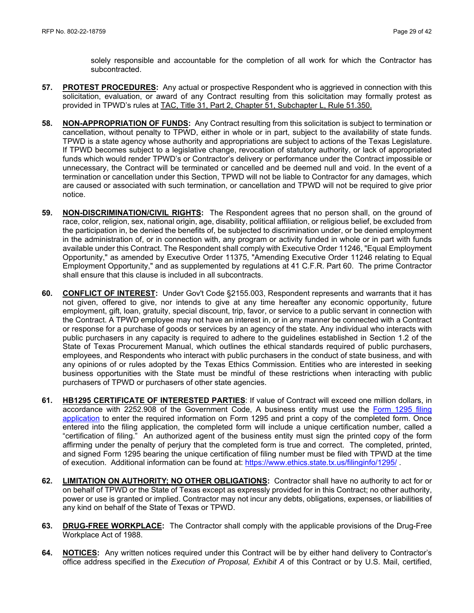solely responsible and accountable for the completion of all work for which the Contractor has subcontracted.

- **57. PROTEST PROCEDURES:** Any actual or prospective Respondent who is aggrieved in connection with this solicitation, evaluation, or award of any Contract resulting from this solicitation may formally protest as provided in TPWD's rules at [TAC, Title 31, Part 2, Chapter 51, Subchapter L, Rule 51.350.](http://texreg.sos.state.tx.us/public/readtac$ext.TacPage?sl=R&app=9&p_dir=&p_rloc=&p_tloc=&p_ploc=&pg=1&p_tac=&ti=31&pt=2&ch=51&rl=350)
- **58. NON-APPROPRIATION OF FUNDS:** Any Contract resulting from this solicitation is subject to termination or cancellation, without penalty to TPWD, either in whole or in part, subject to the availability of state funds. TPWD is a state agency whose authority and appropriations are subject to actions of the Texas Legislature. If TPWD becomes subject to a legislative change, revocation of statutory authority, or lack of appropriated funds which would render TPWD's or Contractor's delivery or performance under the Contract impossible or unnecessary, the Contract will be terminated or cancelled and be deemed null and void. In the event of a termination or cancellation under this Section, TPWD will not be liable to Contractor for any damages, which are caused or associated with such termination, or cancellation and TPWD will not be required to give prior notice.
- **59. NON-DISCRIMINATION/CIVIL RIGHTS:** The Respondent agrees that no person shall, on the ground of race, color, religion, sex, national origin, age, disability, political affiliation, or religious belief, be excluded from the participation in, be denied the benefits of, be subjected to discrimination under, or be denied employment in the administration of, or in connection with, any program or activity funded in whole or in part with funds available under this Contract. The Respondent shall comply with Executive Order 11246, "Equal Employment Opportunity," as amended by Executive Order 11375, "Amending Executive Order 11246 relating to Equal Employment Opportunity," and as supplemented by regulations at 41 C.F.R. Part 60. The prime Contractor shall ensure that this clause is included in all subcontracts.
- **60. CONFLICT OF INTEREST:** Under Gov't Code §2155.003, Respondent represents and warrants that it has not given, offered to give, nor intends to give at any time hereafter any economic opportunity, future employment, gift, loan, gratuity, special discount, trip, favor, or service to a public servant in connection with the Contract. A TPWD employee may not have an interest in, or in any manner be connected with a Contract or response for a purchase of goods or services by an agency of the state. Any individual who interacts with public purchasers in any capacity is required to adhere to the guidelines established in Section 1.2 of the State of Texas Procurement Manual, which outlines the ethical standards required of public purchasers, employees, and Respondents who interact with public purchasers in the conduct of state business, and with any opinions of or rules adopted by the Texas Ethics Commission. Entities who are interested in seeking business opportunities with the State must be mindful of these restrictions when interacting with public purchasers of TPWD or purchasers of other state agencies.
- **61. HB1295 CERTIFICATE OF INTERESTED PARTIES**: If value of Contract will exceed one million dollars, in accordance with 2252.908 of the Government Code, A business entity must use the [Form 1295 filing](https://www.ethics.state.tx.us/whatsnew/elf_info_form1295.htm)  [application](https://www.ethics.state.tx.us/whatsnew/elf_info_form1295.htm) to enter the required information on Form 1295 and print a copy of the completed form. Once entered into the filing application, the completed form will include a unique certification number, called a "certification of filing." An authorized agent of the business entity must sign the printed copy of the form affirming under the penalty of perjury that the completed form is true and correct. The completed, printed, and signed Form 1295 bearing the unique certification of filing number must be filed with TPWD at the time of execution. Additional information can be found at[: https://www.ethics.state.tx.us/filinginfo/1295/](https://www.ethics.state.tx.us/filinginfo/1295/) .
- **62. LIMITATION ON AUTHORITY; NO OTHER OBLIGATIONS:** Contractor shall have no authority to act for or on behalf of TPWD or the State of Texas except as expressly provided for in this Contract; no other authority, power or use is granted or implied. Contractor may not incur any debts, obligations, expenses, or liabilities of any kind on behalf of the State of Texas or TPWD.
- **63. DRUG-FREE WORKPLACE:** The Contractor shall comply with the applicable provisions of the Drug-Free Workplace Act of 1988.
- **64. NOTICES:** Any written notices required under this Contract will be by either hand delivery to Contractor's office address specified in the *Execution of Proposal, Exhibit A* of this Contract or by U.S. Mail, certified,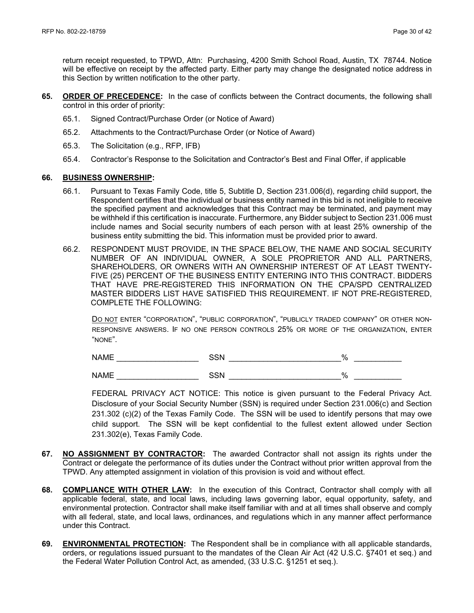return receipt requested, to TPWD, Attn: Purchasing, 4200 Smith School Road, Austin, TX 78744*.* Notice will be effective on receipt by the affected party. Either party may change the designated notice address in this Section by written notification to the other party.

- **65. ORDER OF PRECEDENCE:** In the case of conflicts between the Contract documents, the following shall control in this order of priority:
	- 65.1. Signed Contract/Purchase Order (or Notice of Award)
	- 65.2. Attachments to the Contract/Purchase Order (or Notice of Award)
	- 65.3. The Solicitation (e.g., RFP, IFB)
	- 65.4. Contractor's Response to the Solicitation and Contractor's Best and Final Offer, if applicable

#### **66. BUSINESS OWNERSHIP:**

- 66.1. Pursuant to Texas Family Code, title 5, Subtitle D, Section 231.006(d), regarding child support, the Respondent certifies that the individual or business entity named in this bid is not ineligible to receive the specified payment and acknowledges that this Contract may be terminated, and payment may be withheld if this certification is inaccurate. Furthermore, any Bidder subject to Section 231.006 must include names and Social security numbers of each person with at least 25% ownership of the business entity submitting the bid. This information must be provided prior to award.
- 66.2. RESPONDENT MUST PROVIDE, IN THE SPACE BELOW, THE NAME AND SOCIAL SECURITY NUMBER OF AN INDIVIDUAL OWNER, A SOLE PROPRIETOR AND ALL PARTNERS, SHAREHOLDERS, OR OWNERS WITH AN OWNERSHIP INTEREST OF AT LEAST TWENTY-FIVE (25) PERCENT OF THE BUSINESS ENTITY ENTERING INTO THIS CONTRACT. BIDDERS THAT HAVE PRE-REGISTERED THIS INFORMATION ON THE CPA/SPD CENTRALIZED MASTER BIDDERS LIST HAVE SATISFIED THIS REQUIREMENT. IF NOT PRE-REGISTERED, COMPLETE THE FOLLOWING:

DO NOT ENTER "CORPORATION", "PUBLIC CORPORATION", "PUBLICLY TRADED COMPANY" OR OTHER NON-RESPONSIVE ANSWERS. IF NO ONE PERSON CONTROLS 25% OR MORE OF THE ORGANIZATION, ENTER "NONE".

NAME \_\_\_\_\_\_\_\_\_\_\_\_\_\_\_\_\_\_\_ SSN \_\_\_\_\_\_\_\_\_\_\_\_\_\_\_\_\_\_\_\_\_\_\_\_\_\_% \_\_\_\_\_\_\_\_\_\_\_

 $NAME$  and  $SSN$  and  $\%$ 

FEDERAL PRIVACY ACT NOTICE: This notice is given pursuant to the Federal Privacy Act. Disclosure of your Social Security Number (SSN) is required under Section 231.006(c) and Section 231.302 (c)(2) of the Texas Family Code. The SSN will be used to identify persons that may owe child support. The SSN will be kept confidential to the fullest extent allowed under Section 231.302(e), Texas Family Code.

- **67. NO ASSIGNMENT BY CONTRACTOR:** The awarded Contractor shall not assign its rights under the Contract or delegate the performance of its duties under the Contract without prior written approval from the TPWD. Any attempted assignment in violation of this provision is void and without effect.
- **68. COMPLIANCE WITH OTHER LAW:** In the execution of this Contract, Contractor shall comply with all applicable federal, state, and local laws, including laws governing labor, equal opportunity, safety, and environmental protection. Contractor shall make itself familiar with and at all times shall observe and comply with all federal, state, and local laws, ordinances, and regulations which in any manner affect performance under this Contract.
- **69. ENVIRONMENTAL PROTECTION:** The Respondent shall be in compliance with all applicable standards, orders, or regulations issued pursuant to the mandates of the Clean Air Act (42 U.S.C. §7401 et seq.) and the Federal Water Pollution Control Act, as amended, (33 U.S.C. §1251 et seq.).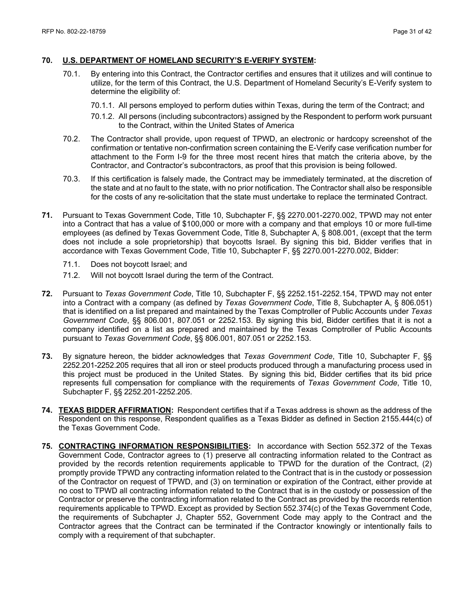#### **70. U.S. DEPARTMENT OF HOMELAND SECURITY'S E-VERIFY SYSTEM:**

- 70.1. By entering into this Contract, the Contractor certifies and ensures that it utilizes and will continue to utilize, for the term of this Contract, the U.S. Department of Homeland Security's E-Verify system to determine the eligibility of:
	- 70.1.1. All persons employed to perform duties within Texas, during the term of the Contract; and
	- 70.1.2. All persons (including subcontractors) assigned by the Respondent to perform work pursuant to the Contract, within the United States of America
- 70.2. The Contractor shall provide, upon request of TPWD, an electronic or hardcopy screenshot of the confirmation or tentative non-confirmation screen containing the E-Verify case verification number for attachment to the Form I-9 for the three most recent hires that match the criteria above, by the Contractor, and Contractor's subcontractors, as proof that this provision is being followed.
- 70.3. If this certification is falsely made, the Contract may be immediately terminated, at the discretion of the state and at no fault to the state, with no prior notification. The Contractor shall also be responsible for the costs of any re-solicitation that the state must undertake to replace the terminated Contract.
- **71.** Pursuant to Texas Government Code, Title 10, Subchapter F, §§ 2270.001-2270.002, TPWD may not enter into a Contract that has a value of \$100,000 or more with a company and that employs 10 or more full-time employees (as defined by Texas Government Code, Title 8, Subchapter A, § 808.001, (except that the term does not include a sole proprietorship) that boycotts Israel. By signing this bid, Bidder verifies that in accordance with Texas Government Code, Title 10, Subchapter F, §§ 2270.001-2270.002, Bidder:
	- 71.1. Does not boycott Israel; and
	- 71.2. Will not boycott Israel during the term of the Contract.
- **72.** Pursuant to *Texas Government Code*, Title 10, Subchapter F, §§ 2252.151-2252.154, TPWD may not enter into a Contract with a company (as defined by *Texas Government Code*, Title 8, Subchapter A, § 806.051) that is identified on a list prepared and maintained by the Texas Comptroller of Public Accounts under *Texas Government Code*, §§ 806.001, 807.051 or 2252.153. By signing this bid, Bidder certifies that it is not a company identified on a list as prepared and maintained by the Texas Comptroller of Public Accounts pursuant to *Texas Government Code*, §§ 806.001, 807.051 or 2252.153.
- **73.** By signature hereon, the bidder acknowledges that *Texas Government Code*, Title 10, Subchapter F, §§ 2252.201-2252.205 requires that all iron or steel products produced through a manufacturing process used in this project must be produced in the United States. By signing this bid, Bidder certifies that its bid price represents full compensation for compliance with the requirements of *Texas Government Code*, Title 10, Subchapter F, §§ 2252.201-2252.205.
- **74. TEXAS BIDDER AFFIRMATION:** Respondent certifies that if a Texas address is shown as the address of the Respondent on this response, Respondent qualifies as a Texas Bidder as defined in Section 2155.444(c) of the Texas Government Code.
- **75. CONTRACTING INFORMATION RESPONSIBILITIES:** In accordance with Section 552.372 of the Texas Government Code, Contractor agrees to (1) preserve all contracting information related to the Contract as provided by the records retention requirements applicable to TPWD for the duration of the Contract, (2) promptly provide TPWD any contracting information related to the Contract that is in the custody or possession of the Contractor on request of TPWD, and (3) on termination or expiration of the Contract, either provide at no cost to TPWD all contracting information related to the Contract that is in the custody or possession of the Contractor or preserve the contracting information related to the Contract as provided by the records retention requirements applicable to TPWD. Except as provided by Section 552.374(c) of the Texas Government Code, the requirements of Subchapter J, Chapter 552, Government Code may apply to the Contract and the Contractor agrees that the Contract can be terminated if the Contractor knowingly or intentionally fails to comply with a requirement of that subchapter.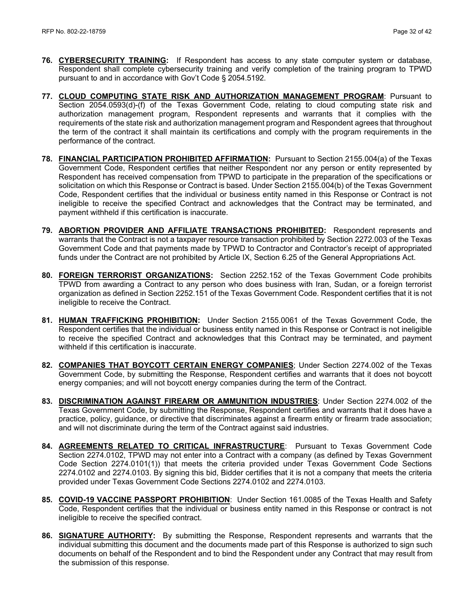- **76. CYBERSECURITY TRAINING:** If Respondent has access to any state computer system or database, Respondent shall complete cybersecurity training and verify completion of the training program to TPWD pursuant to and in accordance with Gov't Code § 2054.5192.
- **77. CLOUD COMPUTING STATE RISK AND AUTHORIZATION MANAGEMENT PROGRAM**: Pursuant to Section 2054.0593(d)-(f) of the Texas Government Code, relating to cloud computing state risk and authorization management program, Respondent represents and warrants that it complies with the requirements of the state risk and authorization management program and Respondent agrees that throughout the term of the contract it shall maintain its certifications and comply with the program requirements in the performance of the contract.
- **78. FINANCIAL PARTICIPATION PROHIBITED AFFIRMATION:** Pursuant to Section 2155.004(a) of the Texas Government Code, Respondent certifies that neither Respondent nor any person or entity represented by Respondent has received compensation from TPWD to participate in the preparation of the specifications or solicitation on which this Response or Contract is based. Under Section 2155.004(b) of the Texas Government Code, Respondent certifies that the individual or business entity named in this Response or Contract is not ineligible to receive the specified Contract and acknowledges that the Contract may be terminated, and payment withheld if this certification is inaccurate.
- **79. ABORTION PROVIDER AND AFFILIATE TRANSACTIONS PROHIBITED:** Respondent represents and warrants that the Contract is not a taxpayer resource transaction prohibited by Section 2272.003 of the Texas Government Code and that payments made by TPWD to Contractor and Contractor's receipt of appropriated funds under the Contract are not prohibited by Article IX, Section 6.25 of the General Appropriations Act.
- **80. FOREIGN TERRORIST ORGANIZATIONS:** Section 2252.152 of the Texas Government Code prohibits TPWD from awarding a Contract to any person who does business with Iran, Sudan, or a foreign terrorist organization as defined in Section 2252.151 of the Texas Government Code. Respondent certifies that it is not ineligible to receive the Contract.
- **81. HUMAN TRAFFICKING PROHIBITION:** Under Section 2155.0061 of the Texas Government Code, the Respondent certifies that the individual or business entity named in this Response or Contract is not ineligible to receive the specified Contract and acknowledges that this Contract may be terminated, and payment withheld if this certification is inaccurate.
- **82. COMPANIES THAT BOYCOTT CERTAIN ENERGY COMPANIES**; Under Section 2274.002 of the Texas Government Code, by submitting the Response, Respondent certifies and warrants that it does not boycott energy companies; and will not boycott energy companies during the term of the Contract.
- **83. DISCRIMINATION AGAINST FIREARM OR AMMUNITION INDUSTRIES**: Under Section 2274.002 of the Texas Government Code, by submitting the Response, Respondent certifies and warrants that it does have a practice, policy, guidance, or directive that discriminates against a firearm entity or firearm trade association; and will not discriminate during the term of the Contract against said industries.
- **84. AGREEMENTS RELATED TO CRITICAL INFRASTRUCTURE**: Pursuant to Texas Government Code Section 2274.0102, TPWD may not enter into a Contract with a company (as defined by Texas Government Code Section 2274.0101(1)) that meets the criteria provided under Texas Government Code Sections 2274.0102 and 2274.0103. By signing this bid, Bidder certifies that it is not a company that meets the criteria provided under Texas Government Code Sections 2274.0102 and 2274.0103.
- **85. COVID-19 VACCINE PASSPORT PROHIBITION**: Under Section 161.0085 of the Texas Health and Safety Code, Respondent certifies that the individual or business entity named in this Response or contract is not ineligible to receive the specified contract.
- **86. SIGNATURE AUTHORITY:** By submitting the Response, Respondent represents and warrants that the individual submitting this document and the documents made part of this Response is authorized to sign such documents on behalf of the Respondent and to bind the Respondent under any Contract that may result from the submission of this response.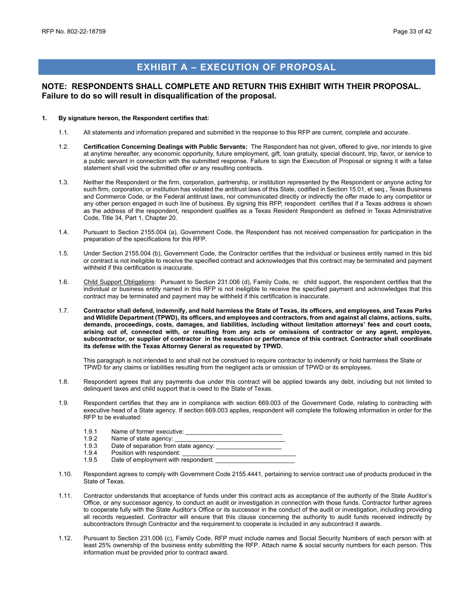## **EXHIBIT A – EXECUTION OF PROPOSAL**

#### <span id="page-32-0"></span>**NOTE: RESPONDENTS SHALL COMPLETE AND RETURN THIS EXHIBIT WITH THEIR PROPOSAL. Failure to do so will result in disqualification of the proposal.**

#### **1. By signature hereon, the Respondent certifies that:**

- 1.1. All statements and information prepared and submitted in the response to this RFP are current, complete and accurate.
- 1.2. **Certification Concerning Dealings with Public Servants:** The Respondent has not given, offered to give, nor intends to give at anytime hereafter, any economic opportunity, future employment, gift, loan gratuity, special discount, trip, favor, or service to a public servant in connection with the submitted response. Failure to sign the Execution of Proposal or signing it with a false statement shall void the submitted offer or any resulting contracts.
- 1.3. Neither the Respondent or the firm, corporation, partnership, or institution represented by the Respondent or anyone acting for such firm, corporation, or institution has violated the antitrust laws of this State, codified in Section 15.01, et seq., Texas Business and Commerce Code, or the Federal antitrust laws, nor communicated directly or indirectly the offer made to any competitor or any other person engaged in such line of business. By signing this RFP, respondent certifies that if a Texas address is shown as the address of the respondent, respondent qualifies as a Texas Resident Respondent as defined in Texas Administrative Code, Title 34, Part 1, Chapter 20.
- 1.4. Pursuant to Section 2155.004 (a), Government Code, the Respondent has not received compensation for participation in the preparation of the specifications for this RFP.
- 1.5. Under Section 2155.004 (b), Government Code, the Contractor certifies that the individual or business entity named in this bid or contract is not ineligible to receive the specified contract and acknowledges that this contract may be terminated and payment withheld if this certification is inaccurate.
- 1.6. Child Support Obligations: Pursuant to Section 231.006 (d), Family Code, re: child support, the respondent certifies that the individual or business entity named in this RFP is not ineligible to receive the specified payment and acknowledges that this contract may be terminated and payment may be withheld if this certification is inaccurate.
- 1.7. **Contractor shall defend, indemnify, and hold harmless the State of Texas, its officers, and employees, and Texas Parks and Wildlife Department (TPWD), its officers, and employees and contractors, from and against all claims, actions, suits, demands, proceedings, costs, damages, and liabilities, including without limitation attorneys' fees and court costs, arising out of, connected with, or resulting from any acts or omissions of contractor or any agent, employee, subcontractor, or supplier of contractor in the execution or performance of this contract. Contractor shall coordinate its defense with the Texas Attorney General as requested by TPWD.**

This paragraph is not intended to and shall not be construed to require contractor to indemnify or hold harmless the State or TPWD for any claims or liabilities resulting from the negligent acts or omission of TPWD or its employees.

- 1.8. Respondent agrees that any payments due under this contract will be applied towards any debt, including but not limited to delinquent taxes and child support that is owed to the State of Texas.
- 1.9. Respondent certifies that they are in compliance with section 669.003 of the Government Code, relating to contracting with executive head of a State agency. If section 669.003 applies, respondent will complete the following information in order for the RFP to be evaluated:
	- 1.9.1 Name of former executive: \_\_\_\_\_\_\_\_\_\_\_\_\_\_\_\_\_\_\_\_\_\_\_\_\_\_\_\_
	- 1.9.2 Name of state agency: \_<br>1.9.3 Date of separation from
	- Date of separation from state agency:
	- 1.9.4 Position with respondent:<br>1.9.5 Date of employment with i
	- Date of employment with respondent:
- 1.10. Respondent agrees to comply with Government Code 2155.4441, pertaining to service contract use of products produced in the State of Texas.
- 1.11. Contractor understands that acceptance of funds under this contract acts as acceptance of the authority of the State Auditor's Office, or any successor agency, to conduct an audit or investigation in connection with those funds. Contractor further agrees to cooperate fully with the State Auditor's Office or its successor in the conduct of the audit or investigation, including providing all records requested. Contractor will ensure that this clause concerning the authority to audit funds received indirectly by subcontractors through Contractor and the requirement to cooperate is included in any subcontract it awards.
- 1.12. Pursuant to Section 231.006 (c), Family Code, RFP must include names and Social Security Numbers of each person with at least 25% ownership of the business entity submitting the RFP. Attach name & social security numbers for each person. This information must be provided prior to contract award.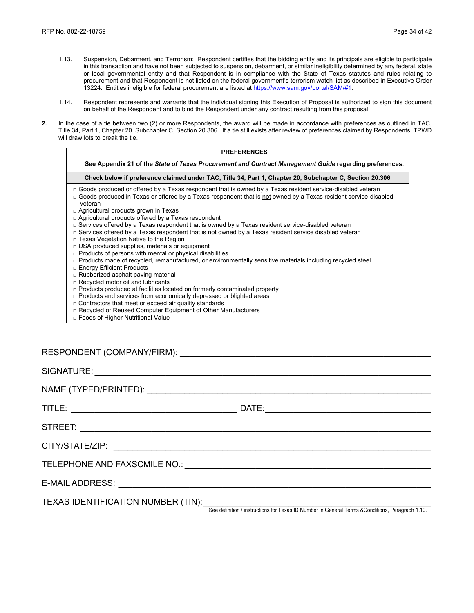- 1.13. Suspension, Debarment, and Terrorism: Respondent certifies that the bidding entity and its principals are eligible to participate in this transaction and have not been subjected to suspension, debarment, or similar ineligibility determined by any federal, state or local governmental entity and that Respondent is in compliance with the State of Texas statutes and rules relating to procurement and that Respondent is not listed on the federal government's terrorism watch list as described in Executive Order 13224. Entities ineligible for federal procurement are listed a[t https://www.sam.gov/portal/SAM/#1.](https://www.sam.gov/portal/SAM/#1)
- 1.14. Respondent represents and warrants that the individual signing this Execution of Proposal is authorized to sign this document on behalf of the Respondent and to bind the Respondent under any contract resulting from this proposal.
- **2.** In the case of a tie between two (2) or more Respondents, the award will be made in accordance with preferences as outlined in TAC, Title 34, Part 1, Chapter 20, Subchapter C, Section 20.306. If a tie still exists after review of preferences claimed by Respondents, TPWD will draw lots to break the tie.

| <b>PREFERENCES</b>                                                                                                                                                                                                                                                                                                                                                                                                                                                                                                                                                                                                                                                                                                                                                                                                                                                                                                                                                                                                                                                                                                                                                                                                                                                                                                                                       |
|----------------------------------------------------------------------------------------------------------------------------------------------------------------------------------------------------------------------------------------------------------------------------------------------------------------------------------------------------------------------------------------------------------------------------------------------------------------------------------------------------------------------------------------------------------------------------------------------------------------------------------------------------------------------------------------------------------------------------------------------------------------------------------------------------------------------------------------------------------------------------------------------------------------------------------------------------------------------------------------------------------------------------------------------------------------------------------------------------------------------------------------------------------------------------------------------------------------------------------------------------------------------------------------------------------------------------------------------------------|
| See Appendix 21 of the State of Texas Procurement and Contract Management Guide regarding preferences.                                                                                                                                                                                                                                                                                                                                                                                                                                                                                                                                                                                                                                                                                                                                                                                                                                                                                                                                                                                                                                                                                                                                                                                                                                                   |
| Check below if preference claimed under TAC, Title 34, Part 1, Chapter 20, Subchapter C, Section 20.306                                                                                                                                                                                                                                                                                                                                                                                                                                                                                                                                                                                                                                                                                                                                                                                                                                                                                                                                                                                                                                                                                                                                                                                                                                                  |
| $\Box$ Goods produced or offered by a Texas respondent that is owned by a Texas resident service-disabled veteran<br>□ Goods produced in Texas or offered by a Texas respondent that is not owned by a Texas resident service-disabled<br>veteran<br>$\Box$ Agricultural products grown in Texas<br>$\Box$ Agricultural products offered by a Texas respondent<br>$\Box$ Services offered by a Texas respondent that is owned by a Texas resident service-disabled veteran<br>$\Box$ Services offered by a Texas respondent that is not owned by a Texas resident service disabled veteran<br>□ Texas Vegetation Native to the Region<br>$\Box$ USA produced supplies, materials or equipment<br>$\Box$ Products of persons with mental or physical disabilities<br>$\Box$ Products made of recycled, remanufactured, or environmentally sensitive materials including recycled steel<br>□ Energy Efficient Products<br>$\Box$ Rubberized asphalt paving material<br>$\Box$ Recycled motor oil and lubricants<br>$\Box$ Products produced at facilities located on formerly contaminated property<br>$\Box$ Products and services from economically depressed or blighted areas<br>$\Box$ Contractors that meet or exceed air quality standards<br>□ Recycled or Reused Computer Equipment of Other Manufacturers<br>□ Foods of Higher Nutritional Value |

| RESPONDENT (COMPANY/FIRM): |  |
|----------------------------|--|
|                            |  |

See definition / instructions for Texas ID Number in General Terms &Conditions, Paragraph 1.10.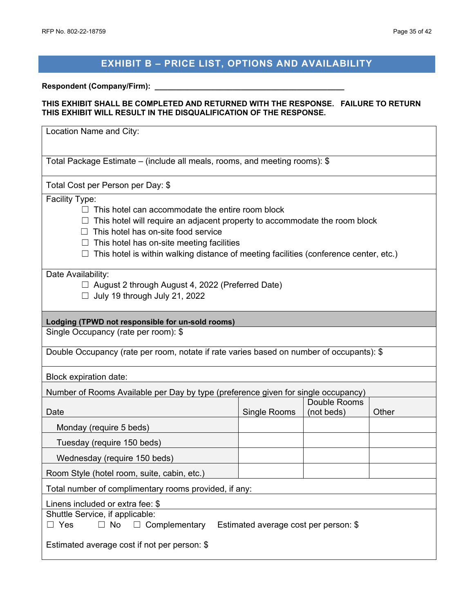## **EXHIBIT B – PRICE LIST, OPTIONS AND AVAILABILITY**

#### <span id="page-34-0"></span>**Respondent (Company/Firm): \_\_\_\_\_\_\_\_\_\_\_\_\_\_\_\_\_\_\_\_\_\_\_\_\_\_\_\_\_\_\_\_\_\_\_\_\_\_\_\_\_\_\_\_**

#### **THIS EXHIBIT SHALL BE COMPLETED AND RETURNED WITH THE RESPONSE. FAILURE TO RETURN THIS EXHIBIT WILL RESULT IN THE DISQUALIFICATION OF THE RESPONSE.**

| Location Name and City:                                                                                                                                                                                                                                                                                                                 |                                                         |                            |       |  |  |
|-----------------------------------------------------------------------------------------------------------------------------------------------------------------------------------------------------------------------------------------------------------------------------------------------------------------------------------------|---------------------------------------------------------|----------------------------|-------|--|--|
| Total Package Estimate – (include all meals, rooms, and meeting rooms): \$                                                                                                                                                                                                                                                              |                                                         |                            |       |  |  |
| Total Cost per Person per Day: \$                                                                                                                                                                                                                                                                                                       |                                                         |                            |       |  |  |
| Facility Type:<br>This hotel can accommodate the entire room block<br>This hotel will require an adjacent property to accommodate the room block<br>This hotel has on-site food service<br>This hotel has on-site meeting facilities<br>$\Box$<br>This hotel is within walking distance of meeting facilities (conference center, etc.) |                                                         |                            |       |  |  |
| Date Availability:<br>July 19 through July 21, 2022                                                                                                                                                                                                                                                                                     | $\Box$ August 2 through August 4, 2022 (Preferred Date) |                            |       |  |  |
| Lodging (TPWD not responsible for un-sold rooms)                                                                                                                                                                                                                                                                                        |                                                         |                            |       |  |  |
| Single Occupancy (rate per room): \$                                                                                                                                                                                                                                                                                                    |                                                         |                            |       |  |  |
| Double Occupancy (rate per room, notate if rate varies based on number of occupants): \$                                                                                                                                                                                                                                                |                                                         |                            |       |  |  |
| Block expiration date:                                                                                                                                                                                                                                                                                                                  |                                                         |                            |       |  |  |
| Number of Rooms Available per Day by type (preference given for single occupancy)                                                                                                                                                                                                                                                       |                                                         |                            |       |  |  |
| Date                                                                                                                                                                                                                                                                                                                                    | Single Rooms                                            | Double Rooms<br>(not beds) | Other |  |  |
| Monday (require 5 beds)                                                                                                                                                                                                                                                                                                                 |                                                         |                            |       |  |  |
| Tuesday (require 150 beds)                                                                                                                                                                                                                                                                                                              |                                                         |                            |       |  |  |
| Wednesday (require 150 beds)                                                                                                                                                                                                                                                                                                            |                                                         |                            |       |  |  |
| Room Style (hotel room, suite, cabin, etc.)                                                                                                                                                                                                                                                                                             |                                                         |                            |       |  |  |
| Total number of complimentary rooms provided, if any:                                                                                                                                                                                                                                                                                   |                                                         |                            |       |  |  |
| Linens included or extra fee: \$<br>Shuttle Service, if applicable:<br>$\Box$ No<br>$\Box$ Complementary<br>$\Box$ Yes<br>Estimated average cost per person: \$<br>Estimated average cost if not per person: \$                                                                                                                         |                                                         |                            |       |  |  |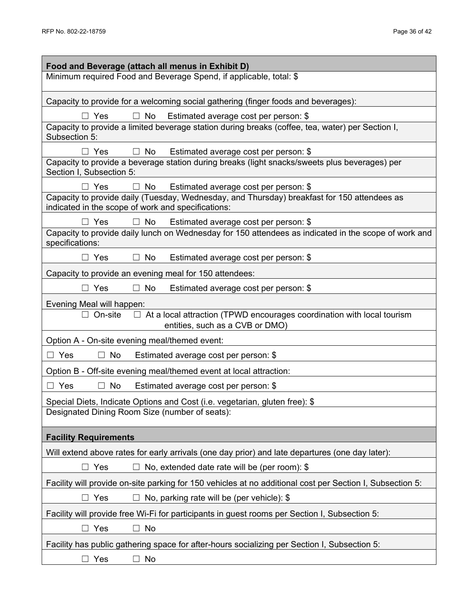| Food and Beverage (attach all menus in Exhibit D)                                                                                                             |
|---------------------------------------------------------------------------------------------------------------------------------------------------------------|
| Minimum required Food and Beverage Spend, if applicable, total: \$                                                                                            |
|                                                                                                                                                               |
| Capacity to provide for a welcoming social gathering (finger foods and beverages):                                                                            |
| Yes<br>$\Box$ No<br>Estimated average cost per person: \$<br>Capacity to provide a limited beverage station during breaks (coffee, tea, water) per Section I, |
| Subsection 5:                                                                                                                                                 |
| Estimated average cost per person: \$<br>$\Box$ Yes<br>No                                                                                                     |
| Capacity to provide a beverage station during breaks (light snacks/sweets plus beverages) per<br>Section I, Subsection 5:                                     |
| $\Box$ No Estimated average cost per person: \$<br>$\Box$ Yes                                                                                                 |
| Capacity to provide daily (Tuesday, Wednesday, and Thursday) breakfast for 150 attendees as<br>indicated in the scope of work and specifications:             |
| $\Box$ Yes<br>$\Box$ No Estimated average cost per person: \$                                                                                                 |
| Capacity to provide daily lunch on Wednesday for 150 attendees as indicated in the scope of work and<br>specifications:                                       |
| Estimated average cost per person: \$<br>$\Box$ Yes<br>$\Box$ No                                                                                              |
| Capacity to provide an evening meal for 150 attendees:                                                                                                        |
| $\Box$ Yes<br>$\Box$ No<br>Estimated average cost per person: \$                                                                                              |
| Evening Meal will happen:                                                                                                                                     |
| On-site $\square$ At a local attraction (TPWD encourages coordination with local tourism<br>entities, such as a CVB or DMO)                                   |
| Option A - On-site evening meal/themed event:                                                                                                                 |
| $\Box$ Yes<br>Estimated average cost per person: \$<br>No<br>Ш                                                                                                |
| Option B - Off-site evening meal/themed event at local attraction:                                                                                            |
| $\Box$ Yes<br>No<br>Estimated average cost per person: \$<br>$\Box$                                                                                           |
| Special Diets, Indicate Options and Cost (i.e. vegetarian, gluten free): \$                                                                                   |
| Designated Dining Room Size (number of seats):                                                                                                                |
| <b>Facility Requirements</b>                                                                                                                                  |
| Will extend above rates for early arrivals (one day prior) and late departures (one day later):                                                               |
| $\Box$ Yes<br>No, extended date rate will be (per room): \$                                                                                                   |
| Facility will provide on-site parking for 150 vehicles at no additional cost per Section I, Subsection 5:                                                     |
| $\Box$ Yes<br>No, parking rate will be (per vehicle): \$                                                                                                      |
| Facility will provide free Wi-Fi for participants in guest rooms per Section I, Subsection 5:                                                                 |
| Yes<br>No<br>$\vert \ \ \vert$<br>$\overline{\phantom{0}}$                                                                                                    |
| Facility has public gathering space for after-hours socializing per Section I, Subsection 5:                                                                  |
| $\Box$ Yes<br>No<br>$\vert \ \ \vert$                                                                                                                         |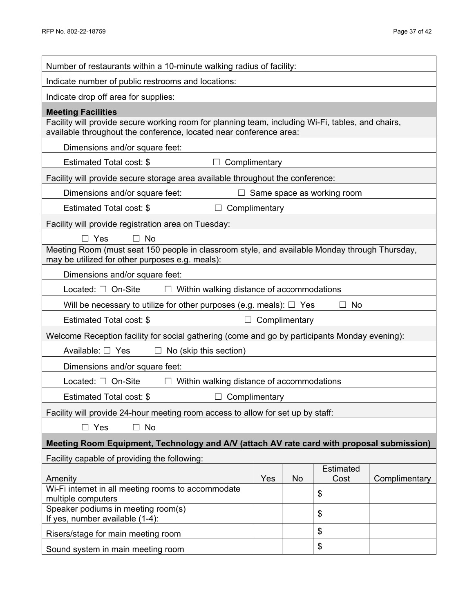| Number of restaurants within a 10-minute walking radius of facility:                                                                                                    |               |               |                                   |               |
|-------------------------------------------------------------------------------------------------------------------------------------------------------------------------|---------------|---------------|-----------------------------------|---------------|
| Indicate number of public restrooms and locations:                                                                                                                      |               |               |                                   |               |
| Indicate drop off area for supplies:                                                                                                                                    |               |               |                                   |               |
| <b>Meeting Facilities</b>                                                                                                                                               |               |               |                                   |               |
| Facility will provide secure working room for planning team, including Wi-Fi, tables, and chairs,<br>available throughout the conference, located near conference area: |               |               |                                   |               |
| Dimensions and/or square feet:                                                                                                                                          |               |               |                                   |               |
| Estimated Total cost: \$<br>$\Box$                                                                                                                                      | Complimentary |               |                                   |               |
| Facility will provide secure storage area available throughout the conference:                                                                                          |               |               |                                   |               |
| Dimensions and/or square feet:                                                                                                                                          |               |               | $\Box$ Same space as working room |               |
| Estimated Total cost: \$<br>$\Box$                                                                                                                                      | Complimentary |               |                                   |               |
| Facility will provide registration area on Tuesday:                                                                                                                     |               |               |                                   |               |
| $\Box$ Yes<br>$\Box$ No                                                                                                                                                 |               |               |                                   |               |
| Meeting Room (must seat 150 people in classroom style, and available Monday through Thursday,<br>may be utilized for other purposes e.g. meals):                        |               |               |                                   |               |
| Dimensions and/or square feet:                                                                                                                                          |               |               |                                   |               |
| Located: □ On-Site<br>$\Box$ Within walking distance of accommodations                                                                                                  |               |               |                                   |               |
| Will be necessary to utilize for other purposes (e.g. meals): $\Box$ Yes                                                                                                |               |               | No<br>$\Box$                      |               |
| Estimated Total cost: \$                                                                                                                                                |               | Complimentary |                                   |               |
| Welcome Reception facility for social gathering (come and go by participants Monday evening):                                                                           |               |               |                                   |               |
| Available: $\Box$ Yes<br>$\Box$ No (skip this section)                                                                                                                  |               |               |                                   |               |
| Dimensions and/or square feet:                                                                                                                                          |               |               |                                   |               |
| Located: $\Box$ On-Site<br>$\Box$ Within walking distance of accommodations                                                                                             |               |               |                                   |               |
| Estimated Total cost: \$<br>$\Box$ Complimentary                                                                                                                        |               |               |                                   |               |
| Facility will provide 24-hour meeting room access to allow for set up by staff:                                                                                         |               |               |                                   |               |
| $\Box$ Yes<br>$\Box$ No                                                                                                                                                 |               |               |                                   |               |
| Meeting Room Equipment, Technology and A/V (attach AV rate card with proposal submission)                                                                               |               |               |                                   |               |
| Facility capable of providing the following:                                                                                                                            |               |               |                                   |               |
| Amenity                                                                                                                                                                 | Yes           | <b>No</b>     | <b>Estimated</b><br>Cost          | Complimentary |
| Wi-Fi internet in all meeting rooms to accommodate                                                                                                                      |               |               | \$                                |               |
| multiple computers<br>Speaker podiums in meeting room(s)                                                                                                                |               |               |                                   |               |
| If yes, number available (1-4):                                                                                                                                         |               |               | \$                                |               |
| \$<br>Risers/stage for main meeting room                                                                                                                                |               |               |                                   |               |
| \$<br>Sound system in main meeting room                                                                                                                                 |               |               |                                   |               |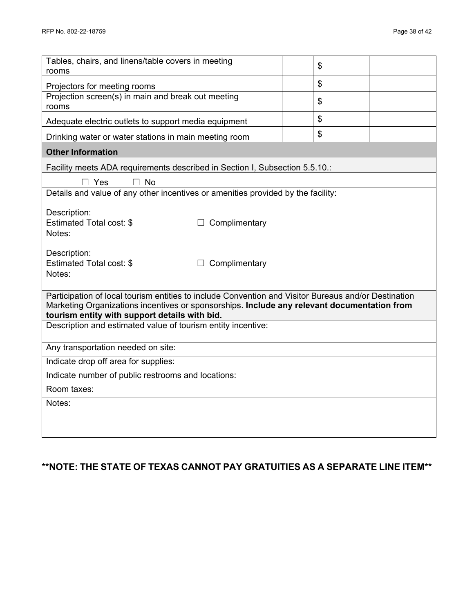| Tables, chairs, and linens/table covers in meeting<br>rooms                                                   |  |  | \$ |  |  |  |
|---------------------------------------------------------------------------------------------------------------|--|--|----|--|--|--|
| Projectors for meeting rooms                                                                                  |  |  | \$ |  |  |  |
| Projection screen(s) in main and break out meeting<br>rooms                                                   |  |  | \$ |  |  |  |
| Adequate electric outlets to support media equipment                                                          |  |  | \$ |  |  |  |
| Drinking water or water stations in main meeting room                                                         |  |  | \$ |  |  |  |
| <b>Other Information</b>                                                                                      |  |  |    |  |  |  |
| Facility meets ADA requirements described in Section I, Subsection 5.5.10.:                                   |  |  |    |  |  |  |
| $\Box$ Yes<br>$\Box$ No                                                                                       |  |  |    |  |  |  |
| Details and value of any other incentives or amenities provided by the facility:                              |  |  |    |  |  |  |
| Description:                                                                                                  |  |  |    |  |  |  |
| <b>Estimated Total cost: \$</b><br>Complimentary                                                              |  |  |    |  |  |  |
| Notes:                                                                                                        |  |  |    |  |  |  |
| Description:                                                                                                  |  |  |    |  |  |  |
| Estimated Total cost: \$<br>Complimentary                                                                     |  |  |    |  |  |  |
| Notes:                                                                                                        |  |  |    |  |  |  |
| Participation of local tourism entities to include Convention and Visitor Bureaus and/or Destination          |  |  |    |  |  |  |
| Marketing Organizations incentives or sponsorships. Include any relevant documentation from                   |  |  |    |  |  |  |
| tourism entity with support details with bid.<br>Description and estimated value of tourism entity incentive: |  |  |    |  |  |  |
|                                                                                                               |  |  |    |  |  |  |
| Any transportation needed on site:                                                                            |  |  |    |  |  |  |
| Indicate drop off area for supplies:                                                                          |  |  |    |  |  |  |
| Indicate number of public restrooms and locations:                                                            |  |  |    |  |  |  |
| Room taxes:                                                                                                   |  |  |    |  |  |  |
| Notes:                                                                                                        |  |  |    |  |  |  |
|                                                                                                               |  |  |    |  |  |  |
|                                                                                                               |  |  |    |  |  |  |

## **\*\*NOTE: THE STATE OF TEXAS CANNOT PAY GRATUITIES AS A SEPARATE LINE ITEM\*\***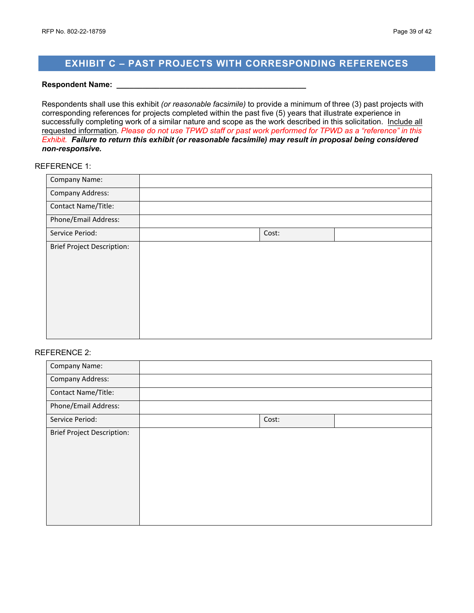## <span id="page-38-0"></span>**EXHIBIT C – PAST PROJECTS WITH CORRESPONDING REFERENCES**

#### **Respondent Name: \_\_\_\_\_\_\_\_\_\_\_\_\_\_\_\_\_\_\_\_\_\_\_\_\_\_\_\_\_\_\_\_\_\_\_\_\_\_\_\_\_\_\_\_**

Respondents shall use this exhibit *(or reasonable facsimile)* to provide a minimum of three (3) past projects with corresponding references for projects completed within the past five (5) years that illustrate experience in successfully completing work of a similar nature and scope as the work described in this solicitation. Include all requested information. *Please do not use TPWD staff or past work performed for TPWD as a "reference" in this Exhibit. Failure to return this exhibit (or reasonable facsimile) may result in proposal being considered non-responsive.*

#### REFERENCE 1:

| <b>Company Name:</b>              |       |  |
|-----------------------------------|-------|--|
| <b>Company Address:</b>           |       |  |
| Contact Name/Title:               |       |  |
| Phone/Email Address:              |       |  |
| Service Period:                   | Cost: |  |
| <b>Brief Project Description:</b> |       |  |
|                                   |       |  |
|                                   |       |  |
|                                   |       |  |
|                                   |       |  |
|                                   |       |  |
|                                   |       |  |

#### REFERENCE 2:

| Company Name:                     |       |  |
|-----------------------------------|-------|--|
| <b>Company Address:</b>           |       |  |
| Contact Name/Title:               |       |  |
| Phone/Email Address:              |       |  |
| Service Period:                   | Cost: |  |
| <b>Brief Project Description:</b> |       |  |
|                                   |       |  |
|                                   |       |  |
|                                   |       |  |
|                                   |       |  |
|                                   |       |  |
|                                   |       |  |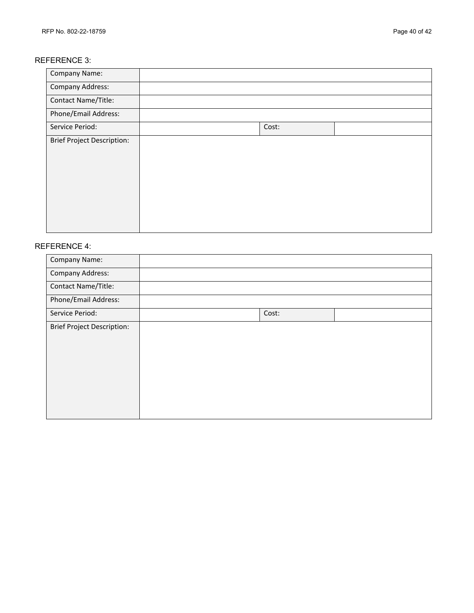#### REFERENCE 3:

| Company Name:                     |       |  |
|-----------------------------------|-------|--|
| <b>Company Address:</b>           |       |  |
| Contact Name/Title:               |       |  |
| Phone/Email Address:              |       |  |
| Service Period:                   | Cost: |  |
| <b>Brief Project Description:</b> |       |  |

#### REFERENCE 4:

| Company Name:                     |       |  |
|-----------------------------------|-------|--|
| <b>Company Address:</b>           |       |  |
| Contact Name/Title:               |       |  |
| Phone/Email Address:              |       |  |
| Service Period:                   | Cost: |  |
| <b>Brief Project Description:</b> |       |  |
|                                   |       |  |
|                                   |       |  |
|                                   |       |  |
|                                   |       |  |
|                                   |       |  |
|                                   |       |  |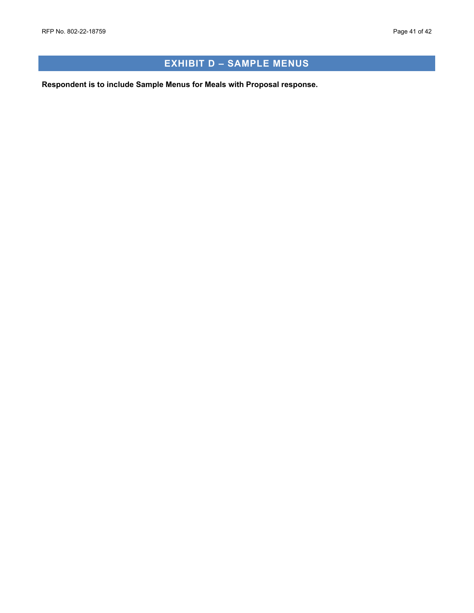## **EXHIBIT D – SAMPLE MENUS**

<span id="page-40-0"></span>**Respondent is to include Sample Menus for Meals with Proposal response.**